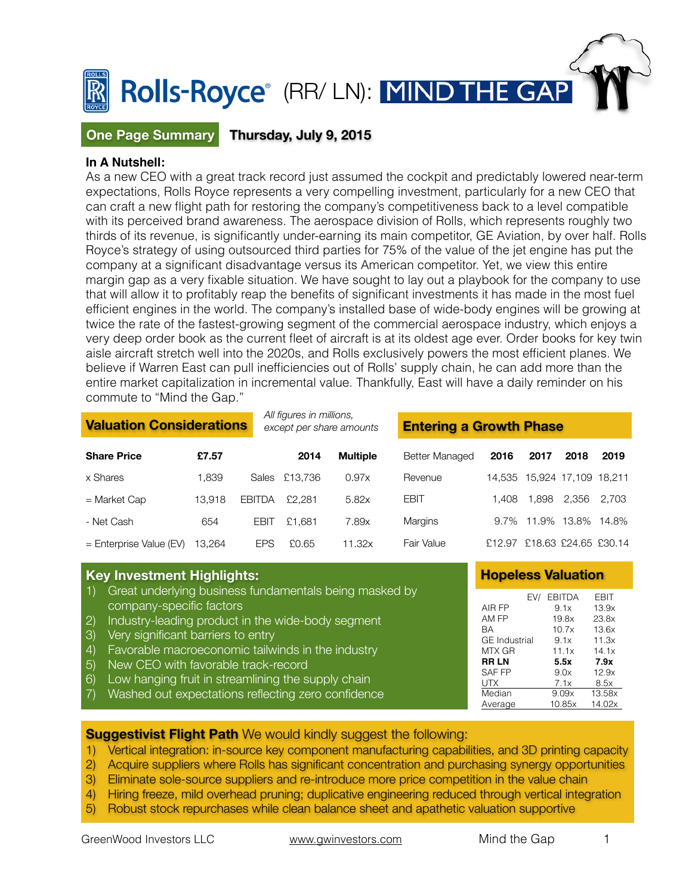

## **One Page Summary**

**Thursday, July 9, 2015**

## **In A Nutshell:**

As a new CEO with a great track record just assumed the cockpit and predictably lowered near-term expectations, Rolls Royce represents a very compelling investment, particularly for a new CEO that can craft a new flight path for restoring the company's competitiveness back to a level compatible with its perceived brand awareness. The aerospace division of Rolls, which represents roughly two thirds of its revenue, is significantly under-earning its main competitor, GE Aviation, by over half. Rolls Royce's strategy of using outsourced third parties for 75% of the value of the jet engine has put the company at a significant disadvantage versus its American competitor. Yet, we view this entire margin gap as a very fixable situation. We have sought to lay out a playbook for the company to use that will allow it to profitably reap the benefits of significant investments it has made in the most fuel efficient engines in the world. The company's installed base of wide-body engines will be growing at twice the rate of the fastest-growing segment of the commercial aerospace industry, which enjoys a very deep order book as the current fleet of aircraft is at its oldest age ever. Order books for key twin aisle aircraft stretch well into the 2020s, and Rolls exclusively powers the most efficient planes. We believe if Warren East can pull inefficiencies out of Rolls' supply chain, he can add more than the entire market capitalization in incremental value. Thankfully, East will have a daily reminder on his commute to "Mind the Gap."

| <b>Valuation Considerations</b> |        |               | All figures in millions, | except per share amounts | <b>Entering a Growth Phase</b> |        |                             |       |                      |  |
|---------------------------------|--------|---------------|--------------------------|--------------------------|--------------------------------|--------|-----------------------------|-------|----------------------|--|
| <b>Share Price</b>              | £7.57  |               | 2014                     | <b>Multiple</b>          | <b>Better Managed</b>          | 2016   | 2017                        | 2018  | 2019                 |  |
| x Shares                        | 1.839  | Sales         | £13.736                  | 0.97x                    | Revenue                        |        | 14,535 15,924 17,109 18,211 |       |                      |  |
| $=$ Market Cap                  | 13.918 | <b>EBITDA</b> | £2.281                   | 5.82x                    | <b>EBIT</b>                    | 1.408  | 1.898                       | 2.356 | 2.703                |  |
| - Net Cash                      | 654    | EBIT          | £1.681                   | 7.89x                    | <b>Margins</b>                 |        | 9.7% 11.9% 13.8%            |       | 14.8%                |  |
| $=$ Enterprise Value (EV)       | 13.264 | EPS           | £0.65                    | 11.32x                   | Fair Value                     | £12.97 |                             |       | £18.63 £24.65 £30.14 |  |

#### **Key Investment Highlights:**

- 1) Great underlying business fundamentals being masked by company-specific factors
- 2) Industry-leading product in the wide-body segment
- 3) Very significant barriers to entry
- 4) Favorable macroeconomic tailwinds in the industry
- 5) New CEO with favorable track-record
- 6) Low hanging fruit in streamlining the supply chain
- 7) Washed out expectations reflecting zero confidence

## **Hopeless Valuation**

| <b>EBITDA</b> | EBIT   |
|---------------|--------|
| 9.1x          | 13.9x  |
| 19.8x         | 23.8x  |
| 10.7x         | 13.6x  |
| 9.1x          | 11.3x  |
| 11.1x         | 14.1x  |
| 5.5x          | 7.9x   |
| 9.0x          | 12.9x  |
| 7.1x          | 8.5x   |
| 9.09x         | 13.58x |
| 10.85x        | 14.02x |
|               |        |

**Suggestivist Flight Path** We would kindly suggest the following:

1) Vertical integration: in-source key component manufacturing capabilities, and 3D printing capacity

2) Acquire suppliers where Rolls has significant concentration and purchasing synergy opportunities

3) Eliminate sole-source suppliers and re-introduce more price competition in the value chain

4) Hiring freeze, mild overhead pruning; duplicative engineering reduced through vertical integration

5) Robust stock repurchases while clean balance sheet and apathetic valuation supportive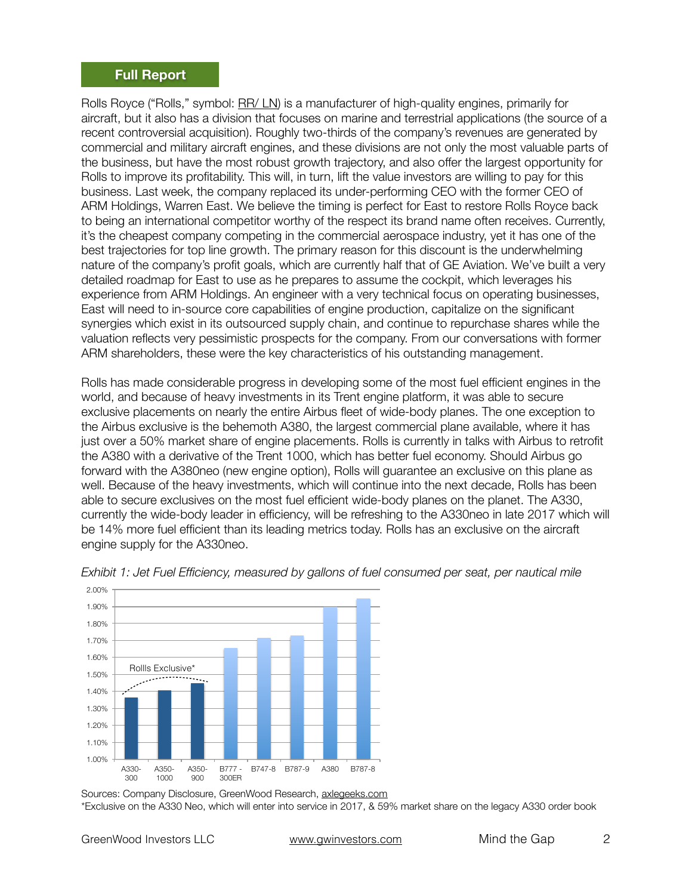#### **Full Report**

Rolls Royce ("Rolls," symbol: [RR/ LN\)](http://www.bloomberg.com/quote/RR/:LN) is a manufacturer of high-quality engines, primarily for aircraft, but it also has a division that focuses on marine and terrestrial applications (the source of a recent controversial acquisition). Roughly two-thirds of the company's revenues are generated by commercial and military aircraft engines, and these divisions are not only the most valuable parts of the business, but have the most robust growth trajectory, and also offer the largest opportunity for Rolls to improve its profitability. This will, in turn, lift the value investors are willing to pay for this business. Last week, the company replaced its under-performing CEO with the former CEO of ARM Holdings, Warren East. We believe the timing is perfect for East to restore Rolls Royce back to being an international competitor worthy of the respect its brand name often receives. Currently, it's the cheapest company competing in the commercial aerospace industry, yet it has one of the best trajectories for top line growth. The primary reason for this discount is the underwhelming nature of the company's profit goals, which are currently half that of GE Aviation. We've built a very detailed roadmap for East to use as he prepares to assume the cockpit, which leverages his experience from ARM Holdings. An engineer with a very technical focus on operating businesses, East will need to in-source core capabilities of engine production, capitalize on the significant synergies which exist in its outsourced supply chain, and continue to repurchase shares while the valuation reflects very pessimistic prospects for the company. From our conversations with former ARM shareholders, these were the key characteristics of his outstanding management.

Rolls has made considerable progress in developing some of the most fuel efficient engines in the world, and because of heavy investments in its Trent engine platform, it was able to secure exclusive placements on nearly the entire Airbus fleet of wide-body planes. The one exception to the Airbus exclusive is the behemoth A380, the largest commercial plane available, where it has just over a 50% market share of engine placements. Rolls is currently in talks with Airbus to retrofit the A380 with a derivative of the Trent 1000, which has better fuel economy. Should Airbus go forward with the A380neo (new engine option), Rolls will guarantee an exclusive on this plane as well. Because of the heavy investments, which will continue into the next decade, Rolls has been able to secure exclusives on the most fuel efficient wide-body planes on the planet. The A330, currently the wide-body leader in efficiency, will be refreshing to the A330neo in late 2017 which will be 14% more fuel efficient than its leading metrics today. Rolls has an exclusive on the aircraft engine supply for the A330neo.



*Exhibit 1: Jet Fuel Efficiency, measured by gallons of fuel consumed per seat, per nautical mile* 

Sources: Company Disclosure, GreenWood Research, [axlegeeks.com](http://axlegeeks.com)  \*Exclusive on the A330 Neo, which will enter into service in 2017, & 59% market share on the legacy A330 order book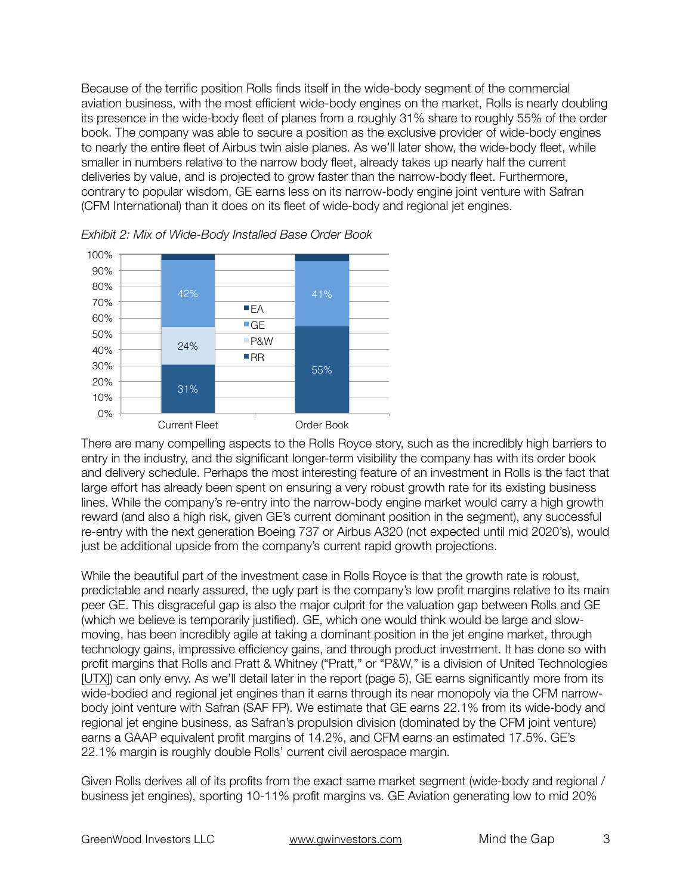Because of the terrific position Rolls finds itself in the wide-body segment of the commercial aviation business, with the most efficient wide-body engines on the market, Rolls is nearly doubling its presence in the wide-body fleet of planes from a roughly 31% share to roughly 55% of the order book. The company was able to secure a position as the exclusive provider of wide-body engines to nearly the entire fleet of Airbus twin aisle planes. As we'll later show, the wide-body fleet, while smaller in numbers relative to the narrow body fleet, already takes up nearly half the current deliveries by value, and is projected to grow faster than the narrow-body fleet. Furthermore, contrary to popular wisdom, GE earns less on its narrow-body engine joint venture with Safran (CFM International) than it does on its fleet of wide-body and regional jet engines.





There are many compelling aspects to the Rolls Royce story, such as the incredibly high barriers to entry in the industry, and the significant longer-term visibility the company has with its order book and delivery schedule. Perhaps the most interesting feature of an investment in Rolls is the fact that large effort has already been spent on ensuring a very robust growth rate for its existing business lines. While the company's re-entry into the narrow-body engine market would carry a high growth reward (and also a high risk, given GE's current dominant position in the segment), any successful re-entry with the next generation Boeing 737 or Airbus A320 (not expected until mid 2020's), would just be additional upside from the company's current rapid growth projections.

While the beautiful part of the investment case in Rolls Royce is that the growth rate is robust, predictable and nearly assured, the ugly part is the company's low profit margins relative to its main peer GE. This disgraceful gap is also the major culprit for the valuation gap between Rolls and GE (which we believe is temporarily justified). GE, which one would think would be large and slowmoving, has been incredibly agile at taking a dominant position in the jet engine market, through technology gains, impressive efficiency gains, and through product investment. It has done so with profit margins that Rolls and Pratt & Whitney ("Pratt," or "P&W," is a division of United Technologies [[UTX\]](http://www.bloomberg.com/quote/UTX:US)) can only envy. As we'll detail later in the report (page 5), GE earns significantly more from its wide-bodied and regional jet engines than it earns through its near monopoly via the CFM narrowbody joint venture with Safran (SAF FP). We estimate that GE earns 22.1% from its wide-body and regional jet engine business, as Safran's propulsion division (dominated by the CFM joint venture) earns a GAAP equivalent profit margins of 14.2%, and CFM earns an estimated 17.5%. GE's 22.1% margin is roughly double Rolls' current civil aerospace margin.

Given Rolls derives all of its profits from the exact same market segment (wide-body and regional / business jet engines), sporting 10-11% profit margins vs. GE Aviation generating low to mid 20%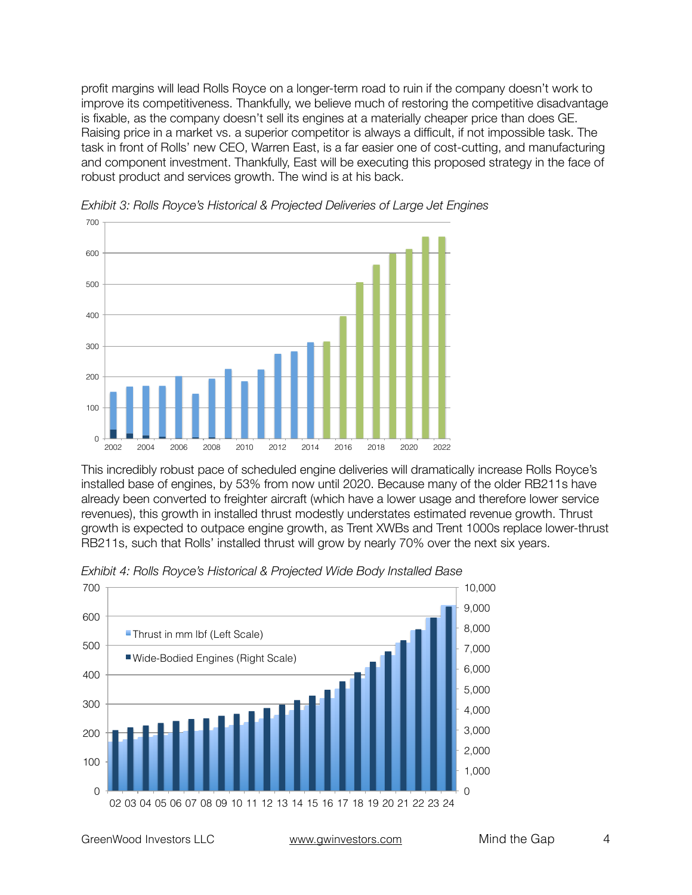profit margins will lead Rolls Royce on a longer-term road to ruin if the company doesn't work to improve its competitiveness. Thankfully, we believe much of restoring the competitive disadvantage is fixable, as the company doesn't sell its engines at a materially cheaper price than does GE. Raising price in a market vs. a superior competitor is always a difficult, if not impossible task. The task in front of Rolls' new CEO, Warren East, is a far easier one of cost-cutting, and manufacturing and component investment. Thankfully, East will be executing this proposed strategy in the face of robust product and services growth. The wind is at his back.





This incredibly robust pace of scheduled engine deliveries will dramatically increase Rolls Royce's installed base of engines, by 53% from now until 2020. Because many of the older RB211s have already been converted to freighter aircraft (which have a lower usage and therefore lower service revenues), this growth in installed thrust modestly understates estimated revenue growth. Thrust growth is expected to outpace engine growth, as Trent XWBs and Trent 1000s replace lower-thrust RB211s, such that Rolls' installed thrust will grow by nearly 70% over the next six years.



*Exhibit 4: Rolls Royce's Historical & Projected Wide Body Installed Base*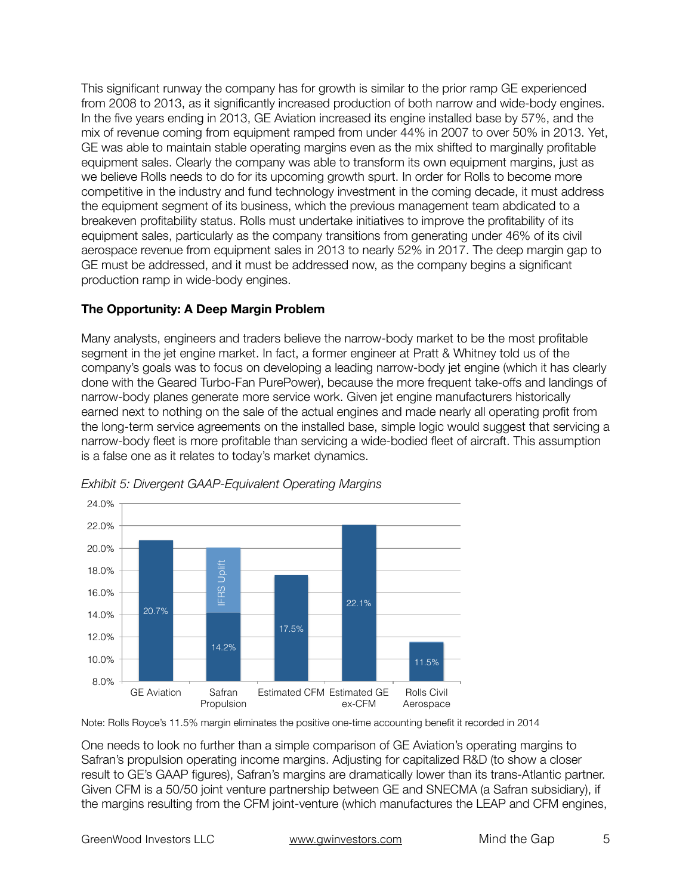This significant runway the company has for growth is similar to the prior ramp GE experienced from 2008 to 2013, as it significantly increased production of both narrow and wide-body engines. In the five years ending in 2013, GE Aviation increased its engine installed base by 57%, and the mix of revenue coming from equipment ramped from under 44% in 2007 to over 50% in 2013. Yet, GE was able to maintain stable operating margins even as the mix shifted to marginally profitable equipment sales. Clearly the company was able to transform its own equipment margins, just as we believe Rolls needs to do for its upcoming growth spurt. In order for Rolls to become more competitive in the industry and fund technology investment in the coming decade, it must address the equipment segment of its business, which the previous management team abdicated to a breakeven profitability status. Rolls must undertake initiatives to improve the profitability of its equipment sales, particularly as the company transitions from generating under 46% of its civil aerospace revenue from equipment sales in 2013 to nearly 52% in 2017. The deep margin gap to GE must be addressed, and it must be addressed now, as the company begins a significant production ramp in wide-body engines.

## **The Opportunity: A Deep Margin Problem**

Many analysts, engineers and traders believe the narrow-body market to be the most profitable segment in the jet engine market. In fact, a former engineer at Pratt & Whitney told us of the company's goals was to focus on developing a leading narrow-body jet engine (which it has clearly done with the Geared Turbo-Fan PurePower), because the more frequent take-offs and landings of narrow-body planes generate more service work. Given jet engine manufacturers historically earned next to nothing on the sale of the actual engines and made nearly all operating profit from the long-term service agreements on the installed base, simple logic would suggest that servicing a narrow-body fleet is more profitable than servicing a wide-bodied fleet of aircraft. This assumption is a false one as it relates to today's market dynamics.



*Exhibit 5: Divergent GAAP-Equivalent Operating Margins*

Note: Rolls Royce's 11.5% margin eliminates the positive one-time accounting benefit it recorded in 2014

One needs to look no further than a simple comparison of GE Aviation's operating margins to Safran's propulsion operating income margins. Adjusting for capitalized R&D (to show a closer result to GE's GAAP figures), Safran's margins are dramatically lower than its trans-Atlantic partner. Given CFM is a 50/50 joint venture partnership between GE and SNECMA (a Safran subsidiary), if the margins resulting from the CFM joint-venture (which manufactures the LEAP and CFM engines,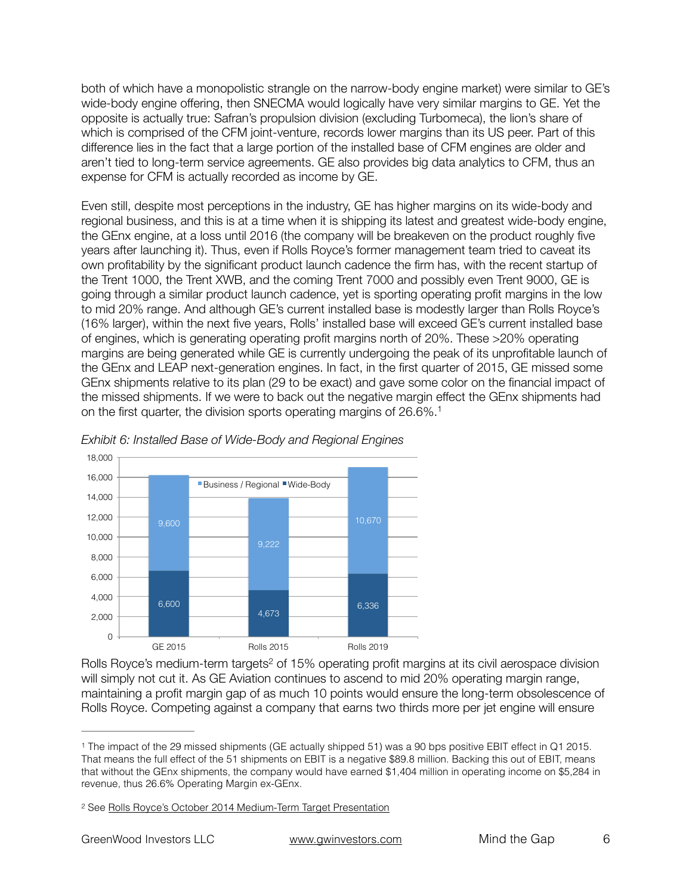both of which have a monopolistic strangle on the narrow-body engine market) were similar to GE's wide-body engine offering, then SNECMA would logically have very similar margins to GE. Yet the opposite is actually true: Safran's propulsion division (excluding Turbomeca), the lion's share of which is comprised of the CFM joint-venture, records lower margins than its US peer. Part of this difference lies in the fact that a large portion of the installed base of CFM engines are older and aren't tied to long-term service agreements. GE also provides big data analytics to CFM, thus an expense for CFM is actually recorded as income by GE.

Even still, despite most perceptions in the industry, GE has higher margins on its wide-body and regional business, and this is at a time when it is shipping its latest and greatest wide-body engine, the GEnx engine, at a loss until 2016 (the company will be breakeven on the product roughly five years after launching it). Thus, even if Rolls Royce's former management team tried to caveat its own profitability by the significant product launch cadence the firm has, with the recent startup of the Trent 1000, the Trent XWB, and the coming Trent 7000 and possibly even Trent 9000, GE is going through a similar product launch cadence, yet is sporting operating profit margins in the low to mid 20% range. And although GE's current installed base is modestly larger than Rolls Royce's (16% larger), within the next five years, Rolls' installed base will exceed GE's current installed base of engines, which is generating operating profit margins north of 20%. These >20% operating margins are being generated while GE is currently undergoing the peak of its unprofitable launch of the GEnx and LEAP next-generation engines. In fact, in the first quarter of 2015, GE missed some GEnx shipments relative to its plan (29 to be exact) and gave some color on the financial impact of the missed shipments. If we were to back out the negative margin effect the GEnx shipments had on the first quarter, the division sports operating margins of 26.6%.<sup>1</sup>



*Exhibit 6: Installed Base of Wide-Body and Regional Engines*

Rolls Royce's medium-term targets<sup>2</sup> of 15% operating profit margins at its civil aerospace division will simply not cut it. As GE Aviation continues to ascend to mid 20% operating margin range, maintaining a profit margin gap of as much 10 points would ensure the long-term obsolescence of Rolls Royce. Competing against a company that earns two thirds more per jet engine will ensure

<sup>&</sup>lt;sup>1</sup> The impact of the 29 missed shipments (GE actually shipped 51) was a 90 bps positive EBIT effect in Q1 2015. That means the full effect of the 51 shipments on EBIT is a negative \$89.8 million. Backing this out of EBIT, means that without the GEnx shipments, the company would have earned \$1,404 million in operating income on \$5,284 in revenue, thus 26.6% Operating Margin ex-GEnx.

<sup>2</sup> See [Rolls Royce's October 2014 Medium-Term Target Presentation](http://www.rolls-royce.com/~/media/Files/R/Rolls-Royce/documents/investors/results/archive/mark-morris-mto-guidance-webex-slides-final-no-notes-tcm92-61321.pdf)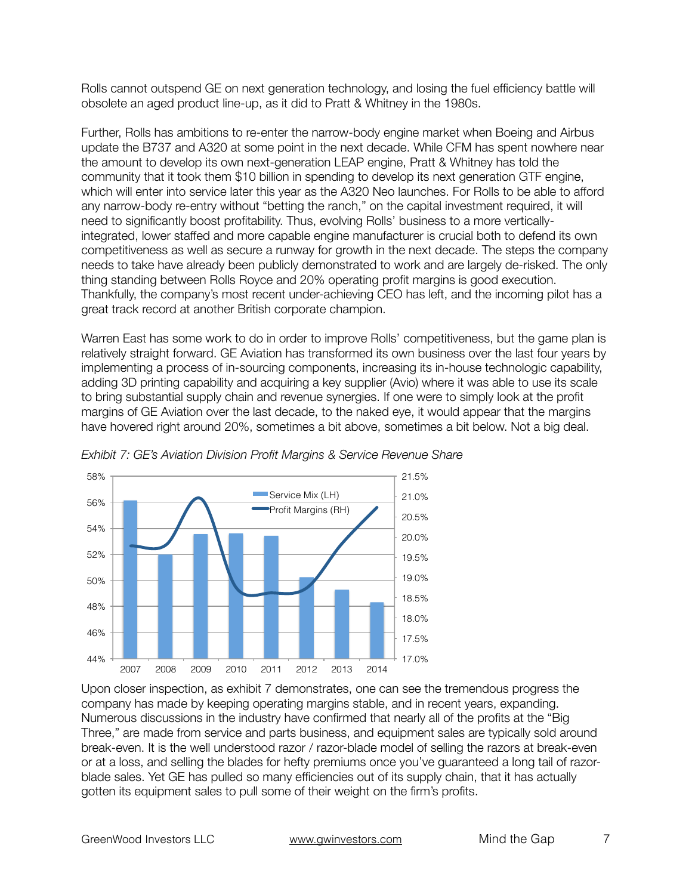Rolls cannot outspend GE on next generation technology, and losing the fuel efficiency battle will obsolete an aged product line-up, as it did to Pratt & Whitney in the 1980s.

Further, Rolls has ambitions to re-enter the narrow-body engine market when Boeing and Airbus update the B737 and A320 at some point in the next decade. While CFM has spent nowhere near the amount to develop its own next-generation LEAP engine, Pratt & Whitney has told the community that it took them \$10 billion in spending to develop its next generation GTF engine, which will enter into service later this year as the A320 Neo launches. For Rolls to be able to afford any narrow-body re-entry without "betting the ranch," on the capital investment required, it will need to significantly boost profitability. Thus, evolving Rolls' business to a more verticallyintegrated, lower staffed and more capable engine manufacturer is crucial both to defend its own competitiveness as well as secure a runway for growth in the next decade. The steps the company needs to take have already been publicly demonstrated to work and are largely de-risked. The only thing standing between Rolls Royce and 20% operating profit margins is good execution. Thankfully, the company's most recent under-achieving CEO has left, and the incoming pilot has a great track record at another British corporate champion.

Warren East has some work to do in order to improve Rolls' competitiveness, but the game plan is relatively straight forward. GE Aviation has transformed its own business over the last four years by implementing a process of in-sourcing components, increasing its in-house technologic capability, adding 3D printing capability and acquiring a key supplier (Avio) where it was able to use its scale to bring substantial supply chain and revenue synergies. If one were to simply look at the profit margins of GE Aviation over the last decade, to the naked eye, it would appear that the margins have hovered right around 20%, sometimes a bit above, sometimes a bit below. Not a big deal.



*Exhibit 7: GE's Aviation Division Profit Margins & Service Revenue Share*

Upon closer inspection, as exhibit 7 demonstrates, one can see the tremendous progress the company has made by keeping operating margins stable, and in recent years, expanding. Numerous discussions in the industry have confirmed that nearly all of the profits at the "Big Three," are made from service and parts business, and equipment sales are typically sold around break-even. It is the well understood razor / razor-blade model of selling the razors at break-even or at a loss, and selling the blades for hefty premiums once you've guaranteed a long tail of razorblade sales. Yet GE has pulled so many efficiencies out of its supply chain, that it has actually gotten its equipment sales to pull some of their weight on the firm's profits.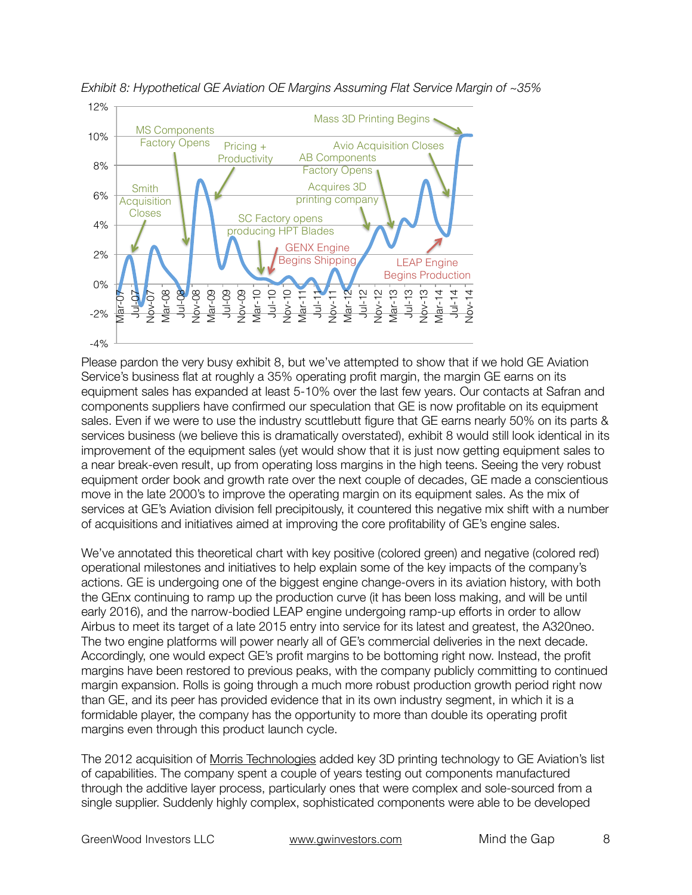



Please pardon the very busy exhibit 8, but we've attempted to show that if we hold GE Aviation Service's business flat at roughly a 35% operating profit margin, the margin GE earns on its equipment sales has expanded at least 5-10% over the last few years. Our contacts at Safran and components suppliers have confirmed our speculation that GE is now profitable on its equipment sales. Even if we were to use the industry scuttlebutt figure that GE earns nearly 50% on its parts & services business (we believe this is dramatically overstated), exhibit 8 would still look identical in its improvement of the equipment sales (yet would show that it is just now getting equipment sales to a near break-even result, up from operating loss margins in the high teens. Seeing the very robust equipment order book and growth rate over the next couple of decades, GE made a conscientious move in the late 2000's to improve the operating margin on its equipment sales. As the mix of services at GE's Aviation division fell precipitously, it countered this negative mix shift with a number of acquisitions and initiatives aimed at improving the core profitability of GE's engine sales.

We've annotated this theoretical chart with key positive (colored green) and negative (colored red) operational milestones and initiatives to help explain some of the key impacts of the company's actions. GE is undergoing one of the biggest engine change-overs in its aviation history, with both the GEnx continuing to ramp up the production curve (it has been loss making, and will be until early 2016), and the narrow-bodied LEAP engine undergoing ramp-up efforts in order to allow Airbus to meet its target of a late 2015 entry into service for its latest and greatest, the A320neo. The two engine platforms will power nearly all of GE's commercial deliveries in the next decade. Accordingly, one would expect GE's profit margins to be bottoming right now. Instead, the profit margins have been restored to previous peaks, with the company publicly committing to continued margin expansion. Rolls is going through a much more robust production growth period right now than GE, and its peer has provided evidence that in its own industry segment, in which it is a formidable player, the company has the opportunity to more than double its operating profit margins even through this product launch cycle.

The 2012 acquisition of [Morris Technologies](http://www.geaviation.com/press/other/other_20121120.html) added key 3D printing technology to GE Aviation's list of capabilities. The company spent a couple of years testing out components manufactured through the additive layer process, particularly ones that were complex and sole-sourced from a single supplier. Suddenly highly complex, sophisticated components were able to be developed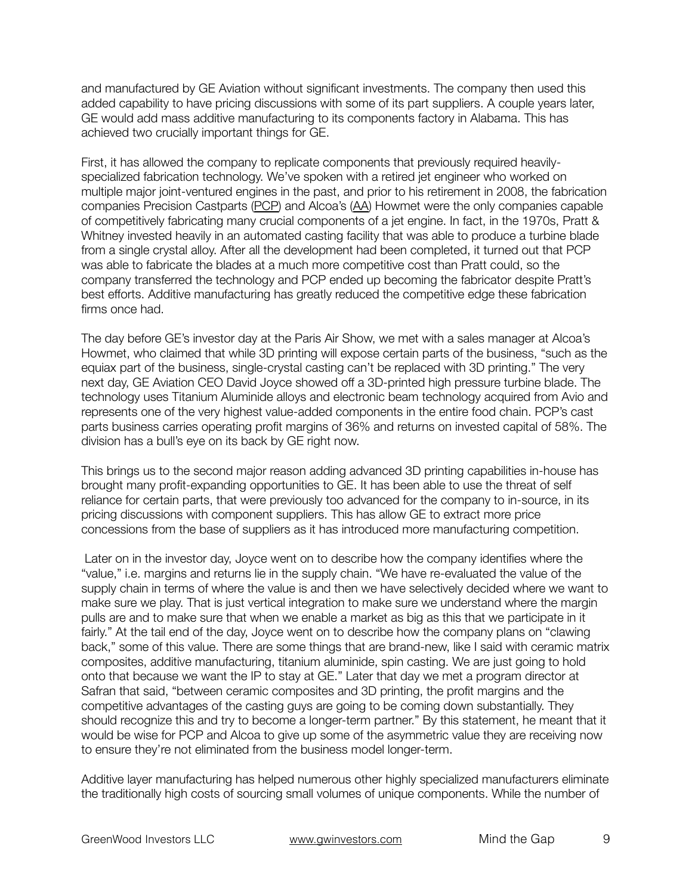and manufactured by GE Aviation without significant investments. The company then used this added capability to have pricing discussions with some of its part suppliers. A couple years later, GE would add mass additive manufacturing to its components factory in Alabama. This has achieved two crucially important things for GE.

First, it has allowed the company to replicate components that previously required heavilyspecialized fabrication technology. We've spoken with a retired jet engineer who worked on multiple major joint-ventured engines in the past, and prior to his retirement in 2008, the fabrication companies Precision Castparts ([PCP](https://www.google.com/finance?q=precision+cast+parts&ei=CMloVZnaCcnRqQGQoIGoAw)) and Alcoa's [\(AA](https://www.google.com/finance?q=NYSE%3AAA&ei=GcloVbnAHMeXrQGUl4HICQ)) Howmet were the only companies capable of competitively fabricating many crucial components of a jet engine. In fact, in the 1970s, Pratt & Whitney invested heavily in an automated casting facility that was able to produce a turbine blade from a single crystal alloy. After all the development had been completed, it turned out that PCP was able to fabricate the blades at a much more competitive cost than Pratt could, so the company transferred the technology and PCP ended up becoming the fabricator despite Pratt's best efforts. Additive manufacturing has greatly reduced the competitive edge these fabrication firms once had.

The day before GE's investor day at the Paris Air Show, we met with a sales manager at Alcoa's Howmet, who claimed that while 3D printing will expose certain parts of the business, "such as the equiax part of the business, single-crystal casting can't be replaced with 3D printing." The very next day, GE Aviation CEO David Joyce showed off a 3D-printed high pressure turbine blade. The technology uses Titanium Aluminide alloys and electronic beam technology acquired from Avio and represents one of the very highest value-added components in the entire food chain. PCP's cast parts business carries operating profit margins of 36% and returns on invested capital of 58%. The division has a bull's eye on its back by GE right now.

This brings us to the second major reason adding advanced 3D printing capabilities in-house has brought many profit-expanding opportunities to GE. It has been able to use the threat of self reliance for certain parts, that were previously too advanced for the company to in-source, in its pricing discussions with component suppliers. This has allow GE to extract more price concessions from the base of suppliers as it has introduced more manufacturing competition.

 Later on in the investor day, Joyce went on to describe how the company identifies where the "value," i.e. margins and returns lie in the supply chain. "We have re-evaluated the value of the supply chain in terms of where the value is and then we have selectively decided where we want to make sure we play. That is just vertical integration to make sure we understand where the margin pulls are and to make sure that when we enable a market as big as this that we participate in it fairly." At the tail end of the day, Joyce went on to describe how the company plans on "clawing back," some of this value. There are some things that are brand-new, like I said with ceramic matrix composites, additive manufacturing, titanium aluminide, spin casting. We are just going to hold onto that because we want the IP to stay at GE." Later that day we met a program director at Safran that said, "between ceramic composites and 3D printing, the profit margins and the competitive advantages of the casting guys are going to be coming down substantially. They should recognize this and try to become a longer-term partner." By this statement, he meant that it would be wise for PCP and Alcoa to give up some of the asymmetric value they are receiving now to ensure they're not eliminated from the business model longer-term.

Additive layer manufacturing has helped numerous other highly specialized manufacturers eliminate the traditionally high costs of sourcing small volumes of unique components. While the number of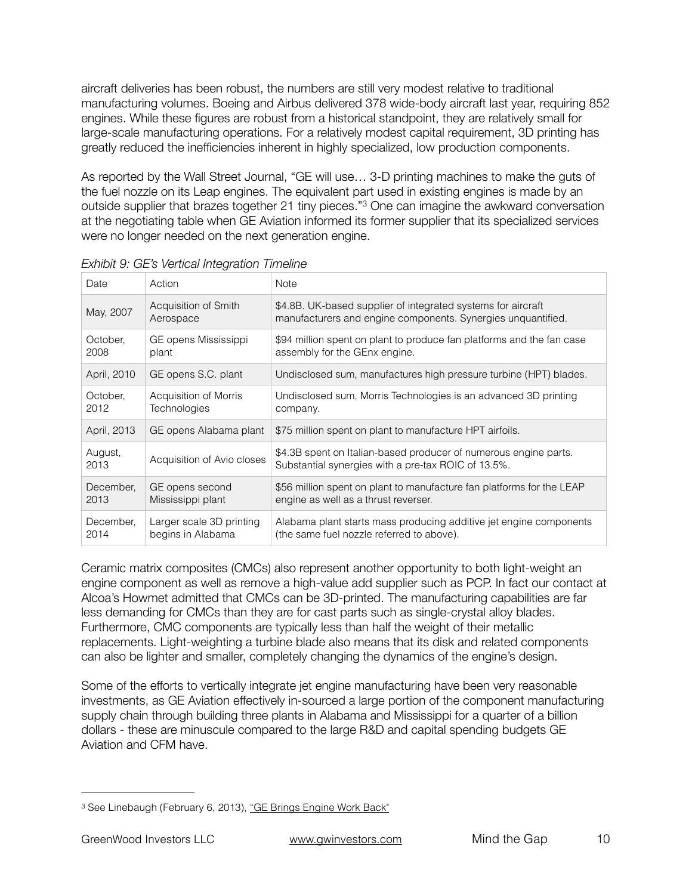aircraft deliveries has been robust, the numbers are still very modest relative to traditional manufacturing volumes. Boeing and Airbus delivered 378 wide-body aircraft last year, requiring 852 engines. While these figures are robust from a historical standpoint, they are relatively small for large-scale manufacturing operations. For a relatively modest capital requirement, 3D printing has greatly reduced the inefficiencies inherent in highly specialized, low production components.

As reported by the Wall Street Journal, "GE will use… 3-D printing machines to make the guts of the fuel nozzle on its Leap engines. The equivalent part used in existing engines is made by an outside supplier that brazes together 21 tiny pieces."<sup>3</sup> One can imagine the awkward conversation at the negotiating table when GE Aviation informed its former supplier that its specialized services were no longer needed on the next generation engine.

| Date              | Action                                        | <b>Note</b>                                                                                                                  |
|-------------------|-----------------------------------------------|------------------------------------------------------------------------------------------------------------------------------|
| May, 2007         | Acquisition of Smith<br>Aerospace             | \$4.8B. UK-based supplier of integrated systems for aircraft<br>manufacturers and engine components. Synergies unquantified. |
| October,<br>2008  | GE opens Mississippi<br>plant                 | \$94 million spent on plant to produce fan platforms and the fan case<br>assembly for the GEnx engine.                       |
| April, 2010       | GE opens S.C. plant                           | Undisclosed sum, manufactures high pressure turbine (HPT) blades.                                                            |
| October,<br>2012  | Acquisition of Morris<br><b>Technologies</b>  | Undisclosed sum, Morris Technologies is an advanced 3D printing<br>company.                                                  |
| April, 2013       | GE opens Alabama plant                        | \$75 million spent on plant to manufacture HPT airfoils.                                                                     |
| August,<br>2013   | Acquisition of Avio closes                    | \$4.3B spent on Italian-based producer of numerous engine parts.<br>Substantial synergies with a pre-tax ROIC of 13.5%.      |
| December,<br>2013 | GE opens second<br>Mississippi plant          | \$56 million spent on plant to manufacture fan platforms for the LEAP<br>engine as well as a thrust reverser.                |
| December,<br>2014 | Larger scale 3D printing<br>begins in Alabama | Alabama plant starts mass producing additive jet engine components<br>(the same fuel nozzle referred to above).              |

*Exhibit 9: GE's Vertical Integration Timeline* 

Ceramic matrix composites (CMCs) also represent another opportunity to both light-weight an engine component as well as remove a high-value add supplier such as PCP. In fact our contact at Alcoa's Howmet admitted that CMCs can be 3D-printed. The manufacturing capabilities are far less demanding for CMCs than they are for cast parts such as single-crystal alloy blades. Furthermore, CMC components are typically less than half the weight of their metallic replacements. Light-weighting a turbine blade also means that its disk and related components can also be lighter and smaller, completely changing the dynamics of the engine's design.

Some of the efforts to vertically integrate jet engine manufacturing have been very reasonable investments, as GE Aviation effectively in-sourced a large portion of the component manufacturing supply chain through building three plants in Alabama and Mississippi for a quarter of a billion dollars - these are minuscule compared to the large R&D and capital spending budgets GE Aviation and CFM have.

<sup>&</sup>lt;sup>3</sup> See Linebaugh (February 6, 2013), ["GE Brings Engine Work Back"](http://www.wsj.com/articles/SB10001424127887324906004578288373219034986)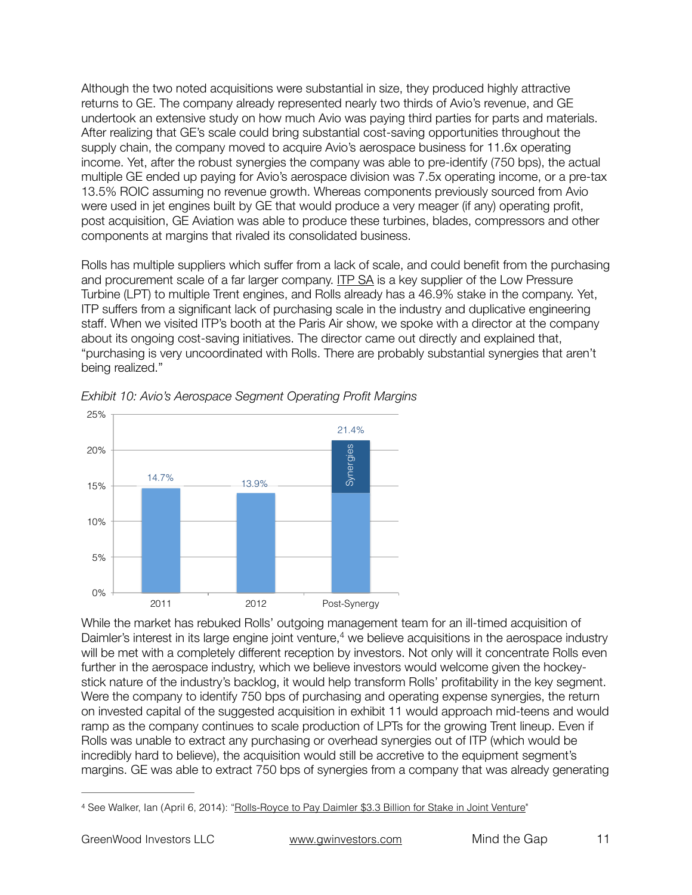Although the two noted acquisitions were substantial in size, they produced highly attractive returns to GE. The company already represented nearly two thirds of Avio's revenue, and GE undertook an extensive study on how much Avio was paying third parties for parts and materials. After realizing that GE's scale could bring substantial cost-saving opportunities throughout the supply chain, the company moved to acquire Avio's aerospace business for 11.6x operating income. Yet, after the robust synergies the company was able to pre-identify (750 bps), the actual multiple GE ended up paying for Avio's aerospace division was 7.5x operating income, or a pre-tax 13.5% ROIC assuming no revenue growth. Whereas components previously sourced from Avio were used in jet engines built by GE that would produce a very meager (if any) operating profit, post acquisition, GE Aviation was able to produce these turbines, blades, compressors and other components at margins that rivaled its consolidated business.

Rolls has multiple suppliers which suffer from a lack of scale, and could benefit from the purchasing and procurement scale of a far larger company. [ITP SA](http://www.itp.es/web/Sec_Home/wf_home.aspx) is a key supplier of the Low Pressure Turbine (LPT) to multiple Trent engines, and Rolls already has a 46.9% stake in the company. Yet, ITP suffers from a significant lack of purchasing scale in the industry and duplicative engineering staff. When we visited ITP's booth at the Paris Air show, we spoke with a director at the company about its ongoing cost-saving initiatives. The director came out directly and explained that, "purchasing is very uncoordinated with Rolls. There are probably substantial synergies that aren't being realized."



*Exhibit 10: Avio's Aerospace Segment Operating Profit Margins*

While the market has rebuked Rolls' outgoing management team for an ill-timed acquisition of Daimler's interest in its large engine joint venture,<sup>4</sup> we believe acquisitions in the aerospace industry will be met with a completely different reception by investors. Not only will it concentrate Rolls even further in the aerospace industry, which we believe investors would welcome given the hockeystick nature of the industry's backlog, it would help transform Rolls' profitability in the key segment. Were the company to identify 750 bps of purchasing and operating expense synergies, the return on invested capital of the suggested acquisition in exhibit 11 would approach mid-teens and would ramp as the company continues to scale production of LPTs for the growing Trent lineup. Even if Rolls was unable to extract any purchasing or overhead synergies out of ITP (which would be incredibly hard to believe), the acquisition would still be accretive to the equipment segment's margins. GE was able to extract 750 bps of synergies from a company that was already generating

<sup>4</sup> See Walker, Ian (April 6, 2014): "[Rolls-Royce to Pay Daimler \\$3.3 Billion for Stake in Joint Venture](http://www.wsj.com/articles/SB10001424052702304626304579505031553017064)"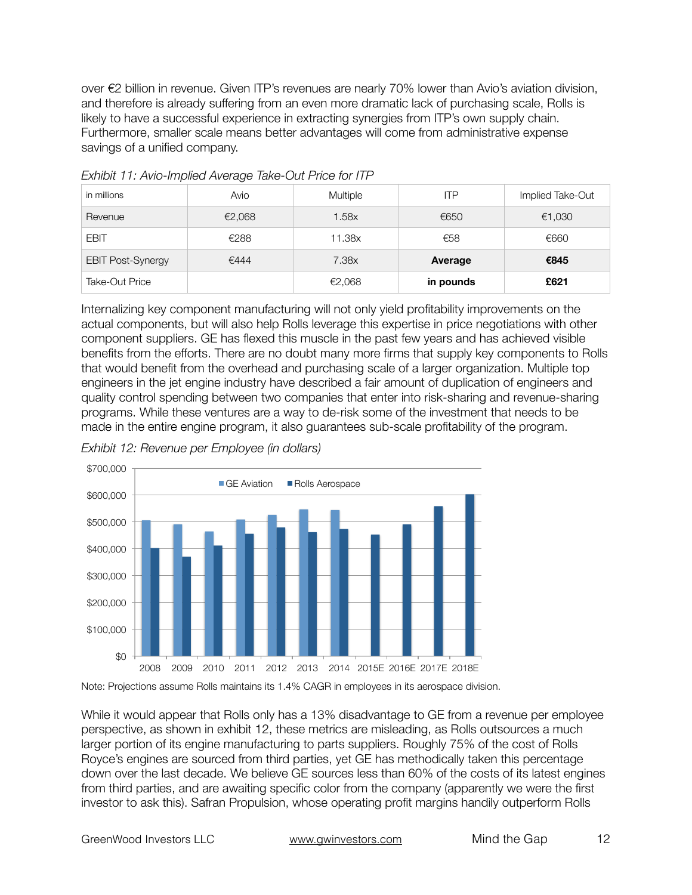over €2 billion in revenue. Given ITP's revenues are nearly 70% lower than Avio's aviation division, and therefore is already suffering from an even more dramatic lack of purchasing scale, Rolls is likely to have a successful experience in extracting synergies from ITP's own supply chain. Furthermore, smaller scale means better advantages will come from administrative expense savings of a unified company.

| in millions              | Avio   | <b>Multiple</b> | <b>ITP</b> | Implied Take-Out |
|--------------------------|--------|-----------------|------------|------------------|
| Revenue                  | €2,068 | 1.58x           | €650       | €1,030           |
| <b>EBIT</b>              | €288   | 11.38x          | €58        | €660             |
| <b>EBIT Post-Synergy</b> | €444   | 7.38x           | Average    | €845             |
| Take-Out Price           |        | €2,068          | in pounds  | £621             |

*Exhibit 11: Avio-Implied Average Take-Out Price for ITP* 

Internalizing key component manufacturing will not only yield profitability improvements on the actual components, but will also help Rolls leverage this expertise in price negotiations with other component suppliers. GE has flexed this muscle in the past few years and has achieved visible benefits from the efforts. There are no doubt many more firms that supply key components to Rolls that would benefit from the overhead and purchasing scale of a larger organization. Multiple top engineers in the jet engine industry have described a fair amount of duplication of engineers and quality control spending between two companies that enter into risk-sharing and revenue-sharing programs. While these ventures are a way to de-risk some of the investment that needs to be made in the entire engine program, it also guarantees sub-scale profitability of the program.

*Exhibit 12: Revenue per Employee (in dollars)*



Note: Projections assume Rolls maintains its 1.4% CAGR in employees in its aerospace division.

While it would appear that Rolls only has a 13% disadvantage to GE from a revenue per employee perspective, as shown in exhibit 12, these metrics are misleading, as Rolls outsources a much larger portion of its engine manufacturing to parts suppliers. Roughly 75% of the cost of Rolls Royce's engines are sourced from third parties, yet GE has methodically taken this percentage down over the last decade. We believe GE sources less than 60% of the costs of its latest engines from third parties, and are awaiting specific color from the company (apparently we were the first investor to ask this). Safran Propulsion, whose operating profit margins handily outperform Rolls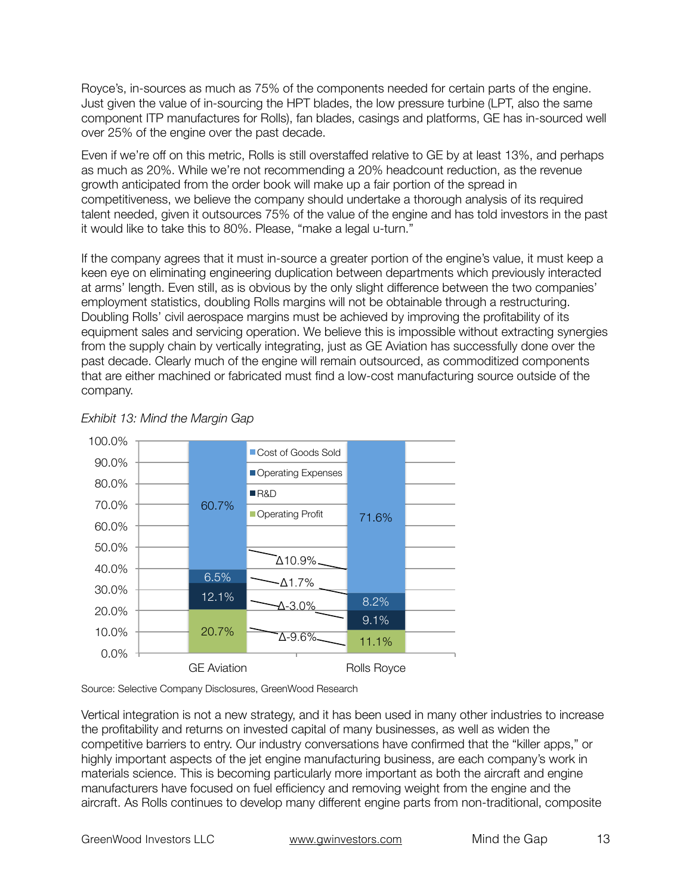Royce's, in-sources as much as 75% of the components needed for certain parts of the engine. Just given the value of in-sourcing the HPT blades, the low pressure turbine (LPT, also the same component ITP manufactures for Rolls), fan blades, casings and platforms, GE has in-sourced well over 25% of the engine over the past decade.

Even if we're off on this metric, Rolls is still overstaffed relative to GE by at least 13%, and perhaps as much as 20%. While we're not recommending a 20% headcount reduction, as the revenue growth anticipated from the order book will make up a fair portion of the spread in competitiveness, we believe the company should undertake a thorough analysis of its required talent needed, given it outsources 75% of the value of the engine and has told investors in the past it would like to take this to 80%. Please, "make a legal u-turn."

If the company agrees that it must in-source a greater portion of the engine's value, it must keep a keen eye on eliminating engineering duplication between departments which previously interacted at arms' length. Even still, as is obvious by the only slight difference between the two companies' employment statistics, doubling Rolls margins will not be obtainable through a restructuring. Doubling Rolls' civil aerospace margins must be achieved by improving the profitability of its equipment sales and servicing operation. We believe this is impossible without extracting synergies from the supply chain by vertically integrating, just as GE Aviation has successfully done over the past decade. Clearly much of the engine will remain outsourced, as commoditized components that are either machined or fabricated must find a low-cost manufacturing source outside of the company.



*Exhibit 13: Mind the Margin Gap*

Source: Selective Company Disclosures, GreenWood Research

Vertical integration is not a new strategy, and it has been used in many other industries to increase the profitability and returns on invested capital of many businesses, as well as widen the competitive barriers to entry. Our industry conversations have confirmed that the "killer apps," or highly important aspects of the jet engine manufacturing business, are each company's work in materials science. This is becoming particularly more important as both the aircraft and engine manufacturers have focused on fuel efficiency and removing weight from the engine and the aircraft. As Rolls continues to develop many different engine parts from non-traditional, composite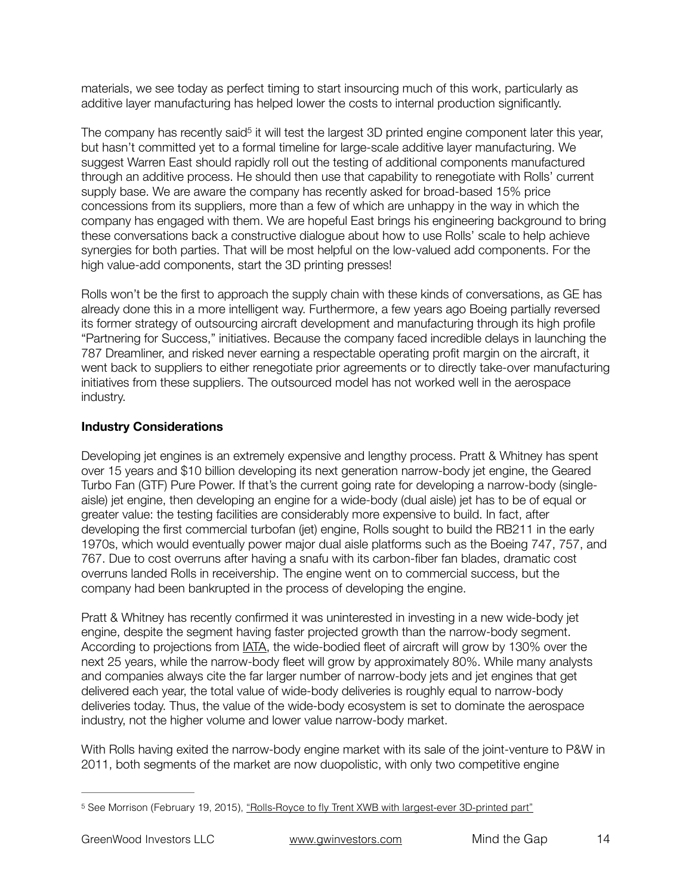materials, we see today as perfect timing to start insourcing much of this work, particularly as additive layer manufacturing has helped lower the costs to internal production significantly.

The company has recently said<sup>5</sup> it will test the largest 3D printed engine component later this year, but hasn't committed yet to a formal timeline for large-scale additive layer manufacturing. We suggest Warren East should rapidly roll out the testing of additional components manufactured through an additive process. He should then use that capability to renegotiate with Rolls' current supply base. We are aware the company has recently asked for broad-based 15% price concessions from its suppliers, more than a few of which are unhappy in the way in which the company has engaged with them. We are hopeful East brings his engineering background to bring these conversations back a constructive dialogue about how to use Rolls' scale to help achieve synergies for both parties. That will be most helpful on the low-valued add components. For the high value-add components, start the 3D printing presses!

Rolls won't be the first to approach the supply chain with these kinds of conversations, as GE has already done this in a more intelligent way. Furthermore, a few years ago Boeing partially reversed its former strategy of outsourcing aircraft development and manufacturing through its high profile "Partnering for Success," initiatives. Because the company faced incredible delays in launching the 787 Dreamliner, and risked never earning a respectable operating profit margin on the aircraft, it went back to suppliers to either renegotiate prior agreements or to directly take-over manufacturing initiatives from these suppliers. The outsourced model has not worked well in the aerospace industry.

# **Industry Considerations**

Developing jet engines is an extremely expensive and lengthy process. Pratt & Whitney has spent over 15 years and \$10 billion developing its next generation narrow-body jet engine, the Geared Turbo Fan (GTF) Pure Power. If that's the current going rate for developing a narrow-body (singleaisle) jet engine, then developing an engine for a wide-body (dual aisle) jet has to be of equal or greater value: the testing facilities are considerably more expensive to build. In fact, after developing the first commercial turbofan (jet) engine, Rolls sought to build the RB211 in the early 1970s, which would eventually power major dual aisle platforms such as the Boeing 747, 757, and 767. Due to cost overruns after having a snafu with its carbon-fiber fan blades, dramatic cost overruns landed Rolls in receivership. The engine went on to commercial success, but the company had been bankrupted in the process of developing the engine.

Pratt & Whitney has recently confirmed it was uninterested in investing in a new wide-body jet engine, despite the segment having faster projected growth than the narrow-body segment. According to projections from *IATA*, the wide-bodied fleet of aircraft will grow by 130% over the next 25 years, while the narrow-body fleet will grow by approximately 80%. While many analysts and companies always cite the far larger number of narrow-body jets and jet engines that get delivered each year, the total value of wide-body deliveries is roughly equal to narrow-body deliveries today. Thus, the value of the wide-body ecosystem is set to dominate the aerospace industry, not the higher volume and lower value narrow-body market.

With Rolls having exited the narrow-body engine market with its sale of the joint-venture to P&W in 2011, both segments of the market are now duopolistic, with only two competitive engine

<sup>&</sup>lt;sup>5</sup> See Morrison (February 19, 2015), ["Rolls-Royce to fly Trent XWB with largest-ever 3D-printed part"](http://www.flightglobal.com/news/articles/rolls-royce-to-fly-trent-xwb-with-largest-ever-3d-printed-409207/)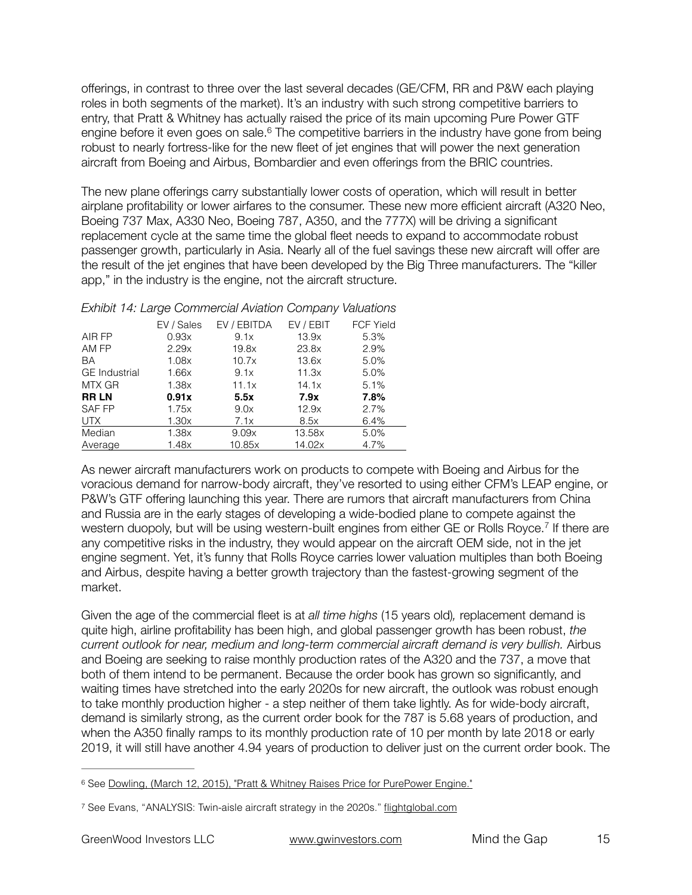offerings, in contrast to three over the last several decades (GE/CFM, RR and P&W each playing roles in both segments of the market). It's an industry with such strong competitive barriers to entry, that Pratt & Whitney has actually raised the price of its main upcoming Pure Power GTF engine before it even goes on sale. $6$  The competitive barriers in the industry have gone from being robust to nearly fortress-like for the new fleet of jet engines that will power the next generation aircraft from Boeing and Airbus, Bombardier and even offerings from the BRIC countries.

The new plane offerings carry substantially lower costs of operation, which will result in better airplane profitability or lower airfares to the consumer. These new more efficient aircraft (A320 Neo, Boeing 737 Max, A330 Neo, Boeing 787, A350, and the 777X) will be driving a significant replacement cycle at the same time the global fleet needs to expand to accommodate robust passenger growth, particularly in Asia. Nearly all of the fuel savings these new aircraft will offer are the result of the jet engines that have been developed by the Big Three manufacturers. The "killer app," in the industry is the engine, not the aircraft structure.

|  |  |  | Exhibit 14: Large Commercial Aviation Company Valuations |
|--|--|--|----------------------------------------------------------|
|  |  |  |                                                          |

|                      | EV / Sales | EV / EBITDA | EV / EBIT | <b>FCF Yield</b> |
|----------------------|------------|-------------|-----------|------------------|
| AIR FP               | 0.93x      | 9.1x        | 13.9x     | 5.3%             |
| AM FP                | 2.29x      | 19.8x       | 23.8x     | 2.9%             |
| BA                   | 1.08x      | 10.7x       | 13.6x     | 5.0%             |
| <b>GE</b> Industrial | 1.66x      | 9.1x        | 11.3x     | 5.0%             |
| MTX GR               | 1.38x      | 11.1x       | 14.1x     | 5.1%             |
| <b>RRLN</b>          | 0.91x      | 5.5x        | 7.9x      | 7.8%             |
| <b>SAFFP</b>         | 1.75x      | 9.0x        | 12.9x     | 2.7%             |
| <b>UTX</b>           | 1.30x      | 7.1x        | 8.5x      | 6.4%             |
| Median               | 1.38x      | 9.09x       | 13.58x    | 5.0%             |
| Average              | 1.48x      | 10.85x      | 14.02x    | 4.7%             |

As newer aircraft manufacturers work on products to compete with Boeing and Airbus for the voracious demand for narrow-body aircraft, they've resorted to using either CFM's LEAP engine, or P&W's GTF offering launching this year. There are rumors that aircraft manufacturers from China and Russia are in the early stages of developing a wide-bodied plane to compete against the western duopoly, but will be using western-built engines from either GE or Rolls Royce.<sup>7</sup> If there are any competitive risks in the industry, they would appear on the aircraft OEM side, not in the jet engine segment. Yet, it's funny that Rolls Royce carries lower valuation multiples than both Boeing and Airbus, despite having a better growth trajectory than the fastest-growing segment of the market.

Given the age of the commercial fleet is at *all time highs* (15 years old)*,* replacement demand is quite high, airline profitability has been high, and global passenger growth has been robust, *the current outlook for near, medium and long-term commercial aircraft demand is very bullish.* Airbus and Boeing are seeking to raise monthly production rates of the A320 and the 737, a move that both of them intend to be permanent. Because the order book has grown so significantly, and waiting times have stretched into the early 2020s for new aircraft, the outlook was robust enough to take monthly production higher - a step neither of them take lightly. As for wide-body aircraft, demand is similarly strong, as the current order book for the 787 is 5.68 years of production, and when the A350 finally ramps to its monthly production rate of 10 per month by late 2018 or early 2019, it will still have another 4.94 years of production to deliver just on the current order book. The

<sup>&</sup>lt;sup>6</sup> See [Dowling, \(March 12, 2015\), "Pratt & Whitney Raises Price for PurePower Engine."](http://www.courant.com/business/hc-pratt-whitney-price-hike-purepower-geared-turbofan-20150311-story.html)

<sup>7</sup> See Evans, "ANALYSIS: Twin-aisle aircraft strategy in the 2020s." [flightglobal.com](http://flightglobal.com)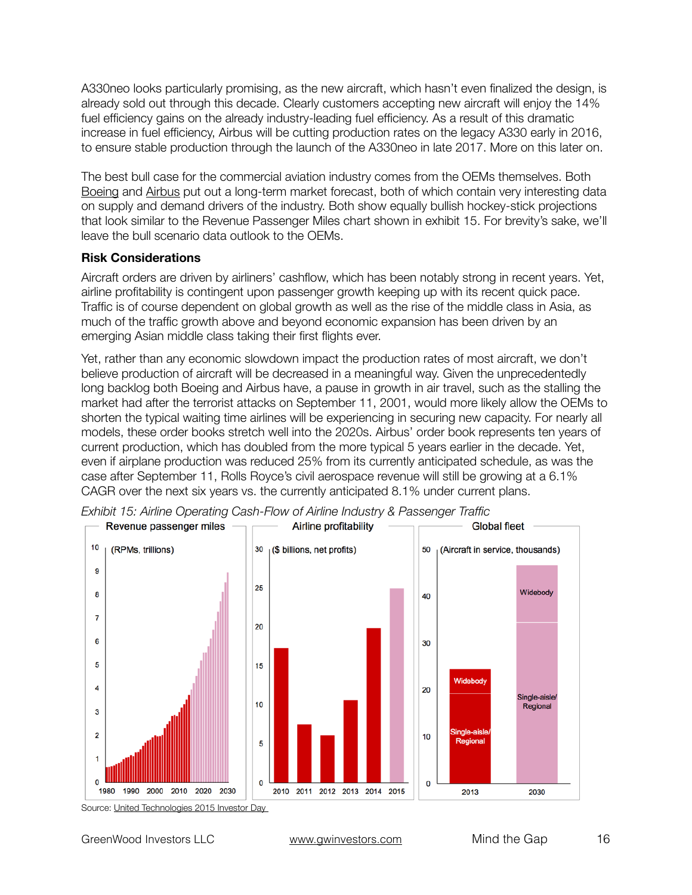A330neo looks particularly promising, as the new aircraft, which hasn't even finalized the design, is already sold out through this decade. Clearly customers accepting new aircraft will enjoy the 14% fuel efficiency gains on the already industry-leading fuel efficiency. As a result of this dramatic increase in fuel efficiency, Airbus will be cutting production rates on the legacy A330 early in 2016, to ensure stable production through the launch of the A330neo in late 2017. More on this later on.

The best bull case for the commercial aviation industry comes from the OEMs themselves. Both [Boeing](http://www.boeing.com/commercial/market/?) and [Airbus](http://www.airbus.com/company/market/forecast/) put out a long-term market forecast, both of which contain very interesting data on supply and demand drivers of the industry. Both show equally bullish hockey-stick projections that look similar to the Revenue Passenger Miles chart shown in exhibit 15. For brevity's sake, we'll leave the bull scenario data outlook to the OEMs.

## **Risk Considerations**

Aircraft orders are driven by airliners' cashflow, which has been notably strong in recent years. Yet, airline profitability is contingent upon passenger growth keeping up with its recent quick pace. Traffic is of course dependent on global growth as well as the rise of the middle class in Asia, as much of the traffic growth above and beyond economic expansion has been driven by an emerging Asian middle class taking their first flights ever.

Yet, rather than any economic slowdown impact the production rates of most aircraft, we don't believe production of aircraft will be decreased in a meaningful way. Given the unprecedentedly long backlog both Boeing and Airbus have, a pause in growth in air travel, such as the stalling the market had after the terrorist attacks on September 11, 2001, would more likely allow the OEMs to shorten the typical waiting time airlines will be experiencing in securing new capacity. For nearly all models, these order books stretch well into the 2020s. Airbus' order book represents ten years of current production, which has doubled from the more typical 5 years earlier in the decade. Yet, even if airplane production was reduced 25% from its currently anticipated schedule, as was the case after September 11, Rolls Royce's civil aerospace revenue will still be growing at a 6.1% CAGR over the next six years vs. the currently anticipated 8.1% under current plans.



*Exhibit 15: Airline Operating Cash-Flow of Airline Industry & Passenger Traffic*

Source: [United Technologies 2015 Investor Day](http://files.shareholder.com/downloads/UTX/3904414805x0x815539/2145C4A8-00FB-499E-9816-725AF216796B/pratt.pdf)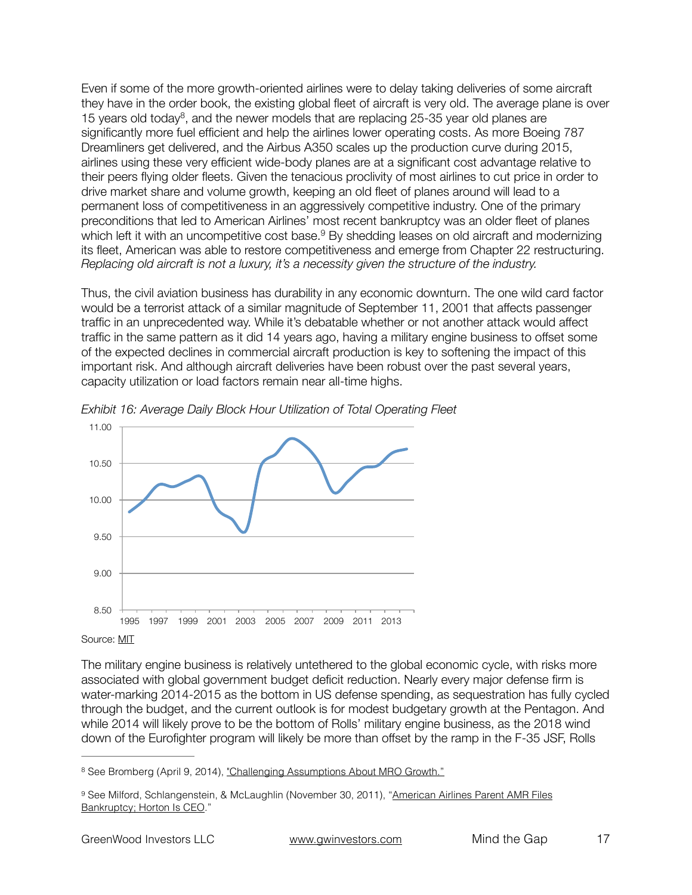Even if some of the more growth-oriented airlines were to delay taking deliveries of some aircraft they have in the order book, the existing global fleet of aircraft is very old. The average plane is over 15 years old today<sup>8</sup>, and the newer models that are replacing 25-35 year old planes are significantly more fuel efficient and help the airlines lower operating costs. As more Boeing 787 Dreamliners get delivered, and the Airbus A350 scales up the production curve during 2015, airlines using these very efficient wide-body planes are at a significant cost advantage relative to their peers flying older fleets. Given the tenacious proclivity of most airlines to cut price in order to drive market share and volume growth, keeping an old fleet of planes around will lead to a permanent loss of competitiveness in an aggressively competitive industry. One of the primary preconditions that led to American Airlines' most recent bankruptcy was an older fleet of planes which left it with an uncompetitive cost base.<sup>9</sup> By shedding leases on old aircraft and modernizing its fleet, American was able to restore competitiveness and emerge from Chapter 22 restructuring. *Replacing old aircraft is not a luxury, it's a necessity given the structure of the industry.* 

Thus, the civil aviation business has durability in any economic downturn. The one wild card factor would be a terrorist attack of a similar magnitude of September 11, 2001 that affects passenger traffic in an unprecedented way. While it's debatable whether or not another attack would affect traffic in the same pattern as it did 14 years ago, having a military engine business to offset some of the expected declines in commercial aircraft production is key to softening the impact of this important risk. And although aircraft deliveries have been robust over the past several years, capacity utilization or load factors remain near all-time highs.



*Exhibit 16: Average Daily Block Hour Utilization of Total Operating Fleet*

The military engine business is relatively untethered to the global economic cycle, with risks more associated with global government budget deficit reduction. Nearly every major defense firm is water-marking 2014-2015 as the bottom in US defense spending, as sequestration has fully cycled through the budget, and the current outlook is for modest budgetary growth at the Pentagon. And while 2014 will likely prove to be the bottom of Rolls' military engine business, as the 2018 wind down of the Eurofighter program will likely be more than offset by the ramp in the F-35 JSF, Rolls

<sup>8</sup> See Bromberg (April 9, 2014), ["Challenging Assumptions About MRO Growth."](http://www.pw.utc.com/Speeches/Story/20140409-1200)

<sup>9</sup> See Milford, Schlangenstein, & McLaughlin (November 30, 2011), "American Airlines Parent AMR Files Bankruptcy; Horton Is CEO."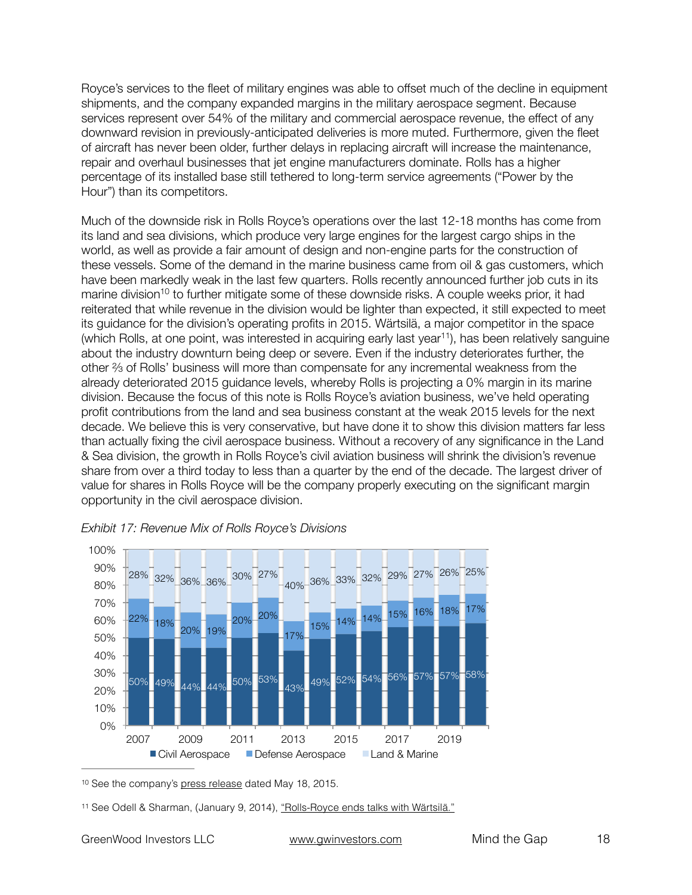Royce's services to the fleet of military engines was able to offset much of the decline in equipment shipments, and the company expanded margins in the military aerospace segment. Because services represent over 54% of the military and commercial aerospace revenue, the effect of any downward revision in previously-anticipated deliveries is more muted. Furthermore, given the fleet of aircraft has never been older, further delays in replacing aircraft will increase the maintenance, repair and overhaul businesses that jet engine manufacturers dominate. Rolls has a higher percentage of its installed base still tethered to long-term service agreements ("Power by the Hour") than its competitors.

Much of the downside risk in Rolls Royce's operations over the last 12-18 months has come from its land and sea divisions, which produce very large engines for the largest cargo ships in the world, as well as provide a fair amount of design and non-engine parts for the construction of these vessels. Some of the demand in the marine business came from oil & gas customers, which have been markedly weak in the last few quarters. Rolls recently announced further job cuts in its marine division<sup>10</sup> to further mitigate some of these downside risks. A couple weeks prior, it had reiterated that while revenue in the division would be lighter than expected, it still expected to meet its guidance for the division's operating profits in 2015. Wärtsilä, a major competitor in the space (which Rolls, at one point, was interested in acquiring early last year<sup>11</sup>), has been relatively sanguine about the industry downturn being deep or severe. Even if the industry deteriorates further, the other ⅔ of Rolls' business will more than compensate for any incremental weakness from the already deteriorated 2015 guidance levels, whereby Rolls is projecting a 0% margin in its marine division. Because the focus of this note is Rolls Royce's aviation business, we've held operating profit contributions from the land and sea business constant at the weak 2015 levels for the next decade. We believe this is very conservative, but have done it to show this division matters far less than actually fixing the civil aerospace business. Without a recovery of any significance in the Land & Sea division, the growth in Rolls Royce's civil aviation business will shrink the division's revenue share from over a third today to less than a quarter by the end of the decade. The largest driver of value for shares in Rolls Royce will be the company properly executing on the significant margin opportunity in the civil aerospace division.





<sup>10</sup> See the company's [press release](http://otp.investis.com/clients/uk/rolls-royce1/rns/regulatory-story.aspx?cid=171&newsid=512894) dated May 18, 2015.

<sup>11</sup> See Odell & Sharman, (January 9, 2014), ["Rolls-Royce ends talks with Wärtsilä."](http://www.ft.com/intl/cms/s/0/43e4ff70-7909-11e3-91ac-00144feabdc0.html#axzz3c8ABtfG8)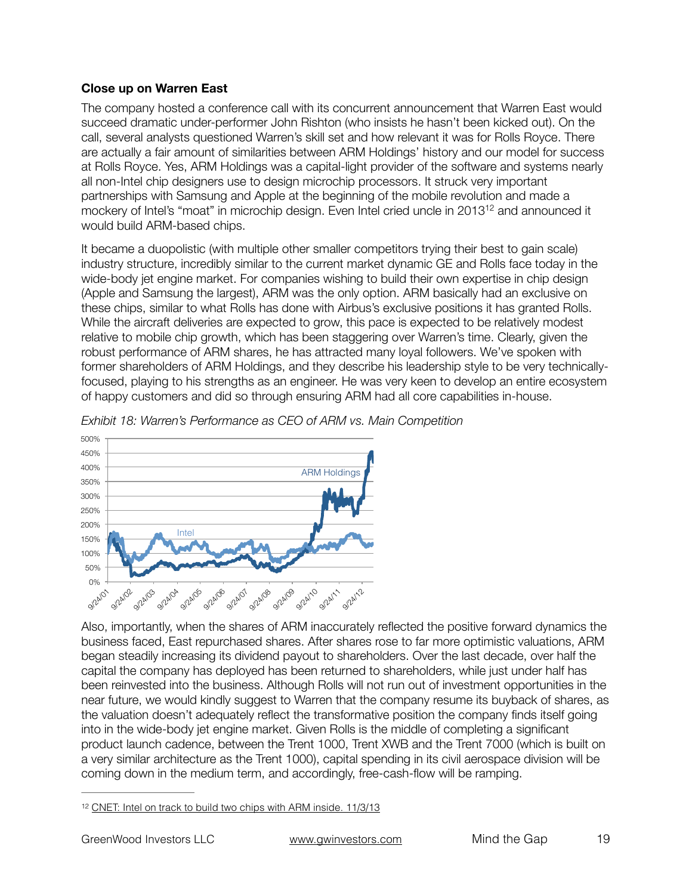## **Close up on Warren East**

The company hosted a conference call with its concurrent announcement that Warren East would succeed dramatic under-performer John Rishton (who insists he hasn't been kicked out). On the call, several analysts questioned Warren's skill set and how relevant it was for Rolls Royce. There are actually a fair amount of similarities between ARM Holdings' history and our model for success at Rolls Royce. Yes, ARM Holdings was a capital-light provider of the software and systems nearly all non-Intel chip designers use to design microchip processors. It struck very important partnerships with Samsung and Apple at the beginning of the mobile revolution and made a mockery of Intel's "moat" in microchip design. Even Intel cried uncle in  $2013^{12}$  and announced it would build ARM-based chips.

It became a duopolistic (with multiple other smaller competitors trying their best to gain scale) industry structure, incredibly similar to the current market dynamic GE and Rolls face today in the wide-body jet engine market. For companies wishing to build their own expertise in chip design (Apple and Samsung the largest), ARM was the only option. ARM basically had an exclusive on these chips, similar to what Rolls has done with Airbus's exclusive positions it has granted Rolls. While the aircraft deliveries are expected to grow, this pace is expected to be relatively modest relative to mobile chip growth, which has been staggering over Warren's time. Clearly, given the robust performance of ARM shares, he has attracted many loyal followers. We've spoken with former shareholders of ARM Holdings, and they describe his leadership style to be very technicallyfocused, playing to his strengths as an engineer. He was very keen to develop an entire ecosystem of happy customers and did so through ensuring ARM had all core capabilities in-house.





Also, importantly, when the shares of ARM inaccurately reflected the positive forward dynamics the business faced, East repurchased shares. After shares rose to far more optimistic valuations, ARM began steadily increasing its dividend payout to shareholders. Over the last decade, over half the capital the company has deployed has been returned to shareholders, while just under half has been reinvested into the business. Although Rolls will not run out of investment opportunities in the near future, we would kindly suggest to Warren that the company resume its buyback of shares, as the valuation doesn't adequately reflect the transformative position the company finds itself going into in the wide-body jet engine market. Given Rolls is the middle of completing a significant product launch cadence, between the Trent 1000, Trent XWB and the Trent 7000 (which is built on a very similar architecture as the Trent 1000), capital spending in its civil aerospace division will be coming down in the medium term, and accordingly, free-cash-flow will be ramping.

<sup>12</sup> [CNET: Intel on track to build two chips with ARM inside. 11/3/13](http://www.cnet.com/news/intel-on-track-to-build-two-chips-with-arm-inside/)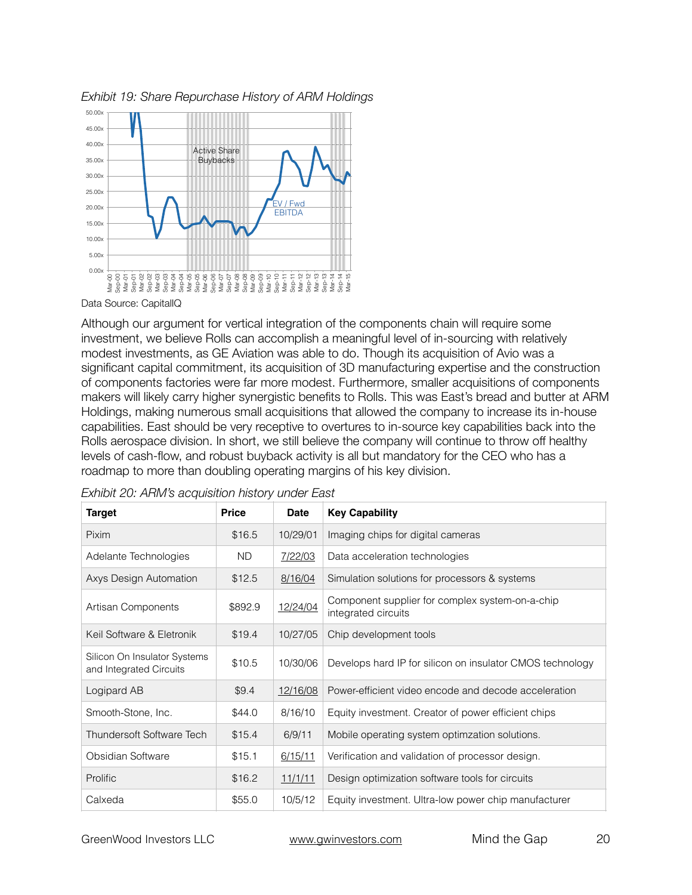

*Exhibit 19: Share Repurchase History of ARM Holdings*

Data Source: CapitalIQ

Although our argument for vertical integration of the components chain will require some investment, we believe Rolls can accomplish a meaningful level of in-sourcing with relatively modest investments, as GE Aviation was able to do. Though its acquisition of Avio was a significant capital commitment, its acquisition of 3D manufacturing expertise and the construction of components factories were far more modest. Furthermore, smaller acquisitions of components makers will likely carry higher synergistic benefits to Rolls. This was East's bread and butter at ARM Holdings, making numerous small acquisitions that allowed the company to increase its in-house capabilities. East should be very receptive to overtures to in-source key capabilities back into the Rolls aerospace division. In short, we still believe the company will continue to throw off healthy levels of cash-flow, and robust buyback activity is all but mandatory for the CEO who has a roadmap to more than doubling operating margins of his key division.

| Target                                                  | <b>Price</b> | <b>Date</b> | <b>Key Capability</b>                                                  |
|---------------------------------------------------------|--------------|-------------|------------------------------------------------------------------------|
| Pixim                                                   | \$16.5       | 10/29/01    | Imaging chips for digital cameras                                      |
| Adelante Technologies                                   | ND.          | 7/22/03     | Data acceleration technologies                                         |
| Axys Design Automation                                  | \$12.5       | 8/16/04     | Simulation solutions for processors & systems                          |
| Artisan Components                                      | \$892.9      | 12/24/04    | Component supplier for complex system-on-a-chip<br>integrated circuits |
| Keil Software & Eletronik                               | \$19.4       | 10/27/05    | Chip development tools                                                 |
| Silicon On Insulator Systems<br>and Integrated Circuits | \$10.5       | 10/30/06    | Develops hard IP for silicon on insulator CMOS technology              |
| Logipard AB                                             | \$9.4        | 12/16/08    | Power-efficient video encode and decode acceleration                   |
| Smooth-Stone, Inc.                                      | \$44.0       | 8/16/10     | Equity investment. Creator of power efficient chips                    |
| Thundersoft Software Tech                               | \$15.4       | 6/9/11      | Mobile operating system optimzation solutions.                         |
| Obsidian Software                                       | \$15.1       | 6/15/11     | Verification and validation of processor design.                       |
| <b>Prolific</b>                                         | \$16.2       | 11/1/11     | Design optimization software tools for circuits                        |
| Calxeda                                                 | \$55.0       | 10/5/12     | Equity investment. Ultra-low power chip manufacturer                   |

|  | Exhibit 20: ARM's acquisition history under East |  |  |  |
|--|--------------------------------------------------|--|--|--|
|--|--------------------------------------------------|--|--|--|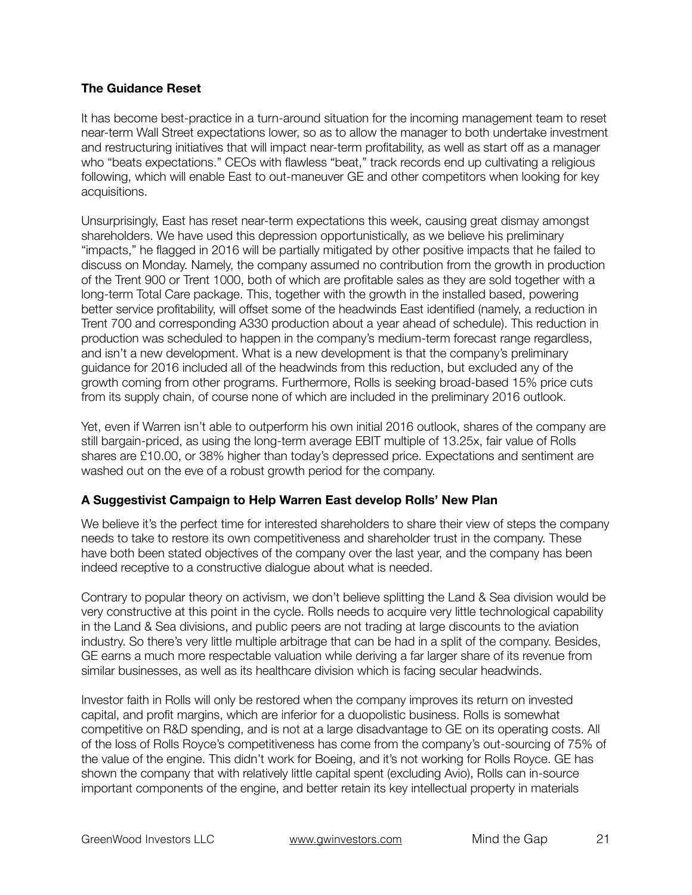#### **The Guidance Reset**

It has become best-practice in a turn-around situation for the incoming management team to reset near-term Wall Street expectations lower, so as to allow the manager to both undertake investment and restructuring initiatives that will impact near-term profitability, as well as start off as a manager who "beats expectations." CEOs with flawless "beat," track records end up cultivating a religious following, which will enable East to out-maneuver GE and other competitors when looking for key acquisitions.

Unsurprisingly, East has reset near-term expectations this week, causing great dismay amongst shareholders. We have used this depression opportunistically, as we believe his preliminary "impacts," he flagged in 2016 will be partially mitigated by other positive impacts that he failed to discuss on Monday. Namely, the company assumed no contribution from the growth in production of the Trent 900 or Trent 1000, both of which are profitable sales as they are sold together with a long-term Total Care package. This, together with the growth in the installed based, powering better service profitability, will offset some of the headwinds East identified (namely, a reduction in Trent 700 and corresponding A330 production about a year ahead of schedule). This reduction in production was scheduled to happen in the company's medium-term forecast range regardless, and isn't a new development. What is a new development is that the company's preliminary guidance for 2016 included all of the headwinds from this reduction, but excluded any of the growth coming from other programs. Furthermore, Rolls is seeking broad-based 15% price cuts from its supply chain, of course none of which are included in the preliminary 2016 outlook.

Yet, even if Warren isn't able to outperform his own initial 2016 outlook, shares of the company are still bargain-priced, as using the long-term average EBIT multiple of 13.25x, fair value of Rolls shares are £10.00, or 38% higher than today's depressed price. Expectations and sentiment are washed out on the eve of a robust growth period for the company.

#### **A Suggestivist Campaign to Help Warren East develop Rolls' New Plan**

We believe it's the perfect time for interested shareholders to share their view of steps the company needs to take to restore its own competitiveness and shareholder trust in the company. These have both been stated objectives of the company over the last year, and the company has been indeed receptive to a constructive dialogue about what is needed.

Contrary to popular theory on activism, we don't believe splitting the Land & Sea division would be very constructive at this point in the cycle. Rolls needs to acquire very little technological capability in the Land & Sea divisions, and public peers are not trading at large discounts to the aviation industry. So there's very little multiple arbitrage that can be had in a split of the company. Besides, GE earns a much more respectable valuation while deriving a far larger share of its revenue from similar businesses, as well as its healthcare division which is facing secular headwinds.

Investor faith in Rolls will only be restored when the company improves its return on invested capital, and profit margins, which are inferior for a duopolistic business. Rolls is somewhat competitive on R&D spending, and is not at a large disadvantage to GE on its operating costs. All of the loss of Rolls Royce's competitiveness has come from the company's out-sourcing of 75% of the value of the engine. This didn't work for Boeing, and it's not working for Rolls Royce. GE has shown the company that with relatively little capital spent (excluding Avio), Rolls can in-source important components of the engine, and better retain its key intellectual property in materials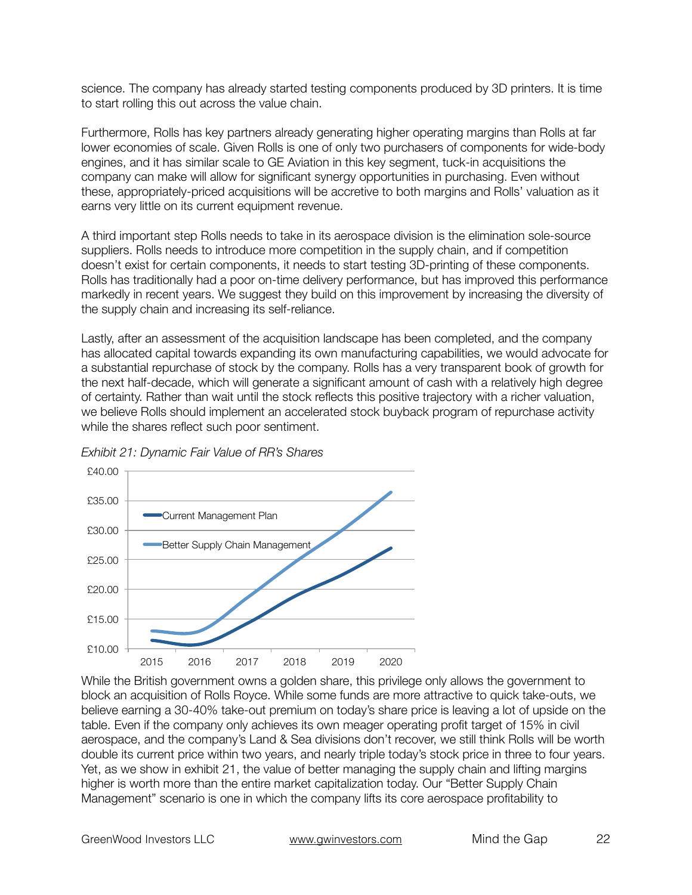science. The company has already started testing components produced by 3D printers. It is time to start rolling this out across the value chain.

Furthermore, Rolls has key partners already generating higher operating margins than Rolls at far lower economies of scale. Given Rolls is one of only two purchasers of components for wide-body engines, and it has similar scale to GE Aviation in this key segment, tuck-in acquisitions the company can make will allow for significant synergy opportunities in purchasing. Even without these, appropriately-priced acquisitions will be accretive to both margins and Rolls' valuation as it earns very little on its current equipment revenue.

A third important step Rolls needs to take in its aerospace division is the elimination sole-source suppliers. Rolls needs to introduce more competition in the supply chain, and if competition doesn't exist for certain components, it needs to start testing 3D-printing of these components. Rolls has traditionally had a poor on-time delivery performance, but has improved this performance markedly in recent years. We suggest they build on this improvement by increasing the diversity of the supply chain and increasing its self-reliance.

Lastly, after an assessment of the acquisition landscape has been completed, and the company has allocated capital towards expanding its own manufacturing capabilities, we would advocate for a substantial repurchase of stock by the company. Rolls has a very transparent book of growth for the next half-decade, which will generate a significant amount of cash with a relatively high degree of certainty. Rather than wait until the stock reflects this positive trajectory with a richer valuation, we believe Rolls should implement an accelerated stock buyback program of repurchase activity while the shares reflect such poor sentiment.



*Exhibit 21: Dynamic Fair Value of RR's Shares*

While the British government owns a golden share, this privilege only allows the government to block an acquisition of Rolls Royce. While some funds are more attractive to quick take-outs, we believe earning a 30-40% take-out premium on today's share price is leaving a lot of upside on the table. Even if the company only achieves its own meager operating profit target of 15% in civil aerospace, and the company's Land & Sea divisions don't recover, we still think Rolls will be worth double its current price within two years, and nearly triple today's stock price in three to four years. Yet, as we show in exhibit 21, the value of better managing the supply chain and lifting margins higher is worth more than the entire market capitalization today. Our "Better Supply Chain Management" scenario is one in which the company lifts its core aerospace profitability to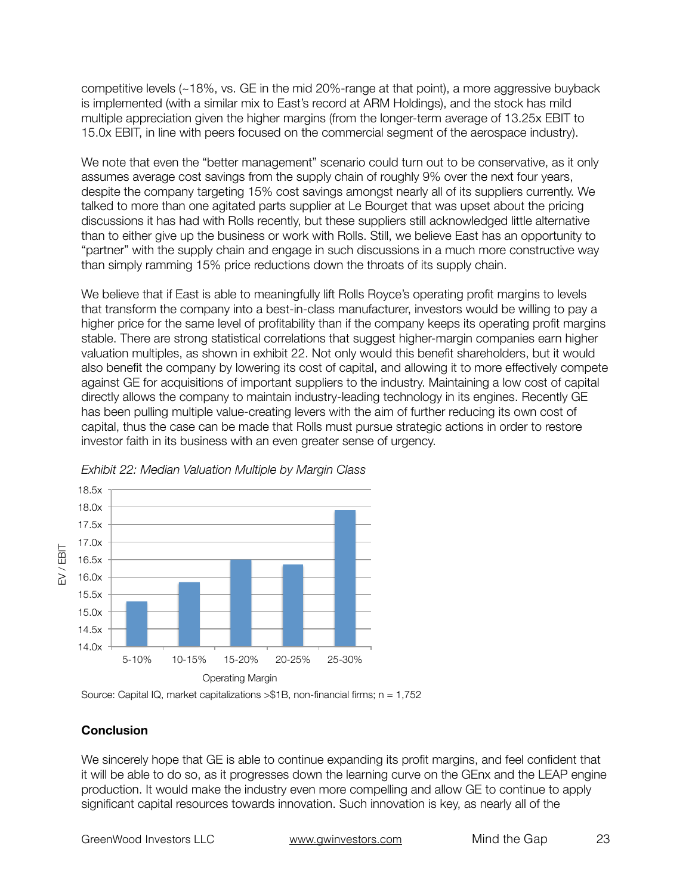competitive levels (~18%, vs. GE in the mid 20%-range at that point), a more aggressive buyback is implemented (with a similar mix to East's record at ARM Holdings), and the stock has mild multiple appreciation given the higher margins (from the longer-term average of 13.25x EBIT to 15.0x EBIT, in line with peers focused on the commercial segment of the aerospace industry).

We note that even the "better management" scenario could turn out to be conservative, as it only assumes average cost savings from the supply chain of roughly 9% over the next four years, despite the company targeting 15% cost savings amongst nearly all of its suppliers currently. We talked to more than one agitated parts supplier at Le Bourget that was upset about the pricing discussions it has had with Rolls recently, but these suppliers still acknowledged little alternative than to either give up the business or work with Rolls. Still, we believe East has an opportunity to "partner" with the supply chain and engage in such discussions in a much more constructive way than simply ramming 15% price reductions down the throats of its supply chain.

We believe that if East is able to meaningfully lift Rolls Royce's operating profit margins to levels that transform the company into a best-in-class manufacturer, investors would be willing to pay a higher price for the same level of profitability than if the company keeps its operating profit margins stable. There are strong statistical correlations that suggest higher-margin companies earn higher valuation multiples, as shown in exhibit 22. Not only would this benefit shareholders, but it would also benefit the company by lowering its cost of capital, and allowing it to more effectively compete against GE for acquisitions of important suppliers to the industry. Maintaining a low cost of capital directly allows the company to maintain industry-leading technology in its engines. Recently GE has been pulling multiple value-creating levers with the aim of further reducing its own cost of capital, thus the case can be made that Rolls must pursue strategic actions in order to restore investor faith in its business with an even greater sense of urgency.



*Exhibit 22: Median Valuation Multiple by Margin Class*

# **Conclusion**

We sincerely hope that GE is able to continue expanding its profit margins, and feel confident that it will be able to do so, as it progresses down the learning curve on the GEnx and the LEAP engine production. It would make the industry even more compelling and allow GE to continue to apply significant capital resources towards innovation. Such innovation is key, as nearly all of the

Source: Capital IQ, market capitalizations  $>\$1B$ , non-financial firms; n = 1,752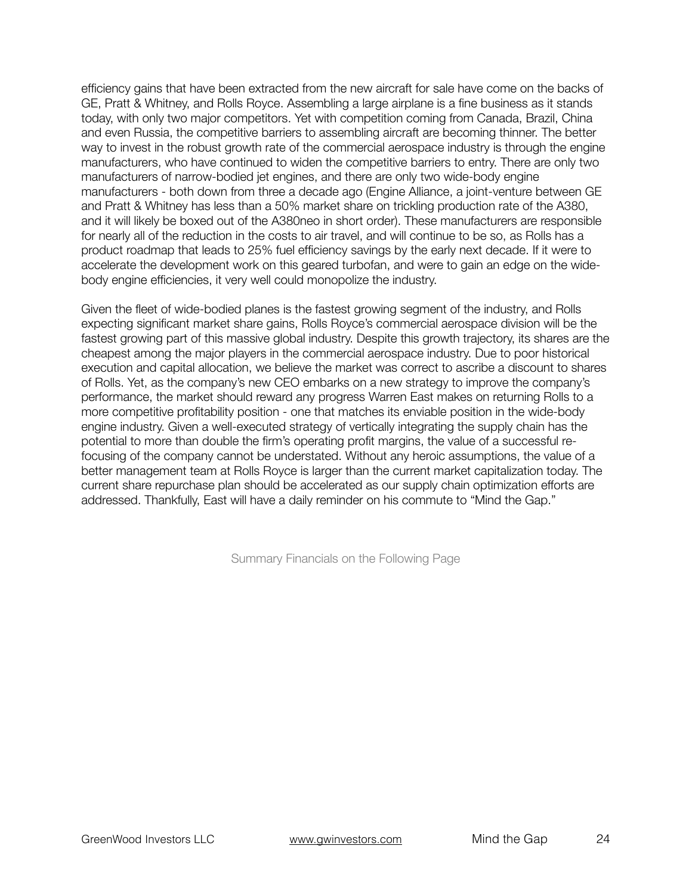efficiency gains that have been extracted from the new aircraft for sale have come on the backs of GE, Pratt & Whitney, and Rolls Royce. Assembling a large airplane is a fine business as it stands today, with only two major competitors. Yet with competition coming from Canada, Brazil, China and even Russia, the competitive barriers to assembling aircraft are becoming thinner. The better way to invest in the robust growth rate of the commercial aerospace industry is through the engine manufacturers, who have continued to widen the competitive barriers to entry. There are only two manufacturers of narrow-bodied jet engines, and there are only two wide-body engine manufacturers - both down from three a decade ago (Engine Alliance, a joint-venture between GE and Pratt & Whitney has less than a 50% market share on trickling production rate of the A380, and it will likely be boxed out of the A380neo in short order). These manufacturers are responsible for nearly all of the reduction in the costs to air travel, and will continue to be so, as Rolls has a product roadmap that leads to 25% fuel efficiency savings by the early next decade. If it were to accelerate the development work on this geared turbofan, and were to gain an edge on the widebody engine efficiencies, it very well could monopolize the industry.

Given the fleet of wide-bodied planes is the fastest growing segment of the industry, and Rolls expecting significant market share gains, Rolls Royce's commercial aerospace division will be the fastest growing part of this massive global industry. Despite this growth trajectory, its shares are the cheapest among the major players in the commercial aerospace industry. Due to poor historical execution and capital allocation, we believe the market was correct to ascribe a discount to shares of Rolls. Yet, as the company's new CEO embarks on a new strategy to improve the company's performance, the market should reward any progress Warren East makes on returning Rolls to a more competitive profitability position - one that matches its enviable position in the wide-body engine industry. Given a well-executed strategy of vertically integrating the supply chain has the potential to more than double the firm's operating profit margins, the value of a successful refocusing of the company cannot be understated. Without any heroic assumptions, the value of a better management team at Rolls Royce is larger than the current market capitalization today. The current share repurchase plan should be accelerated as our supply chain optimization efforts are addressed. Thankfully, East will have a daily reminder on his commute to "Mind the Gap."

Summary Financials on the Following Page